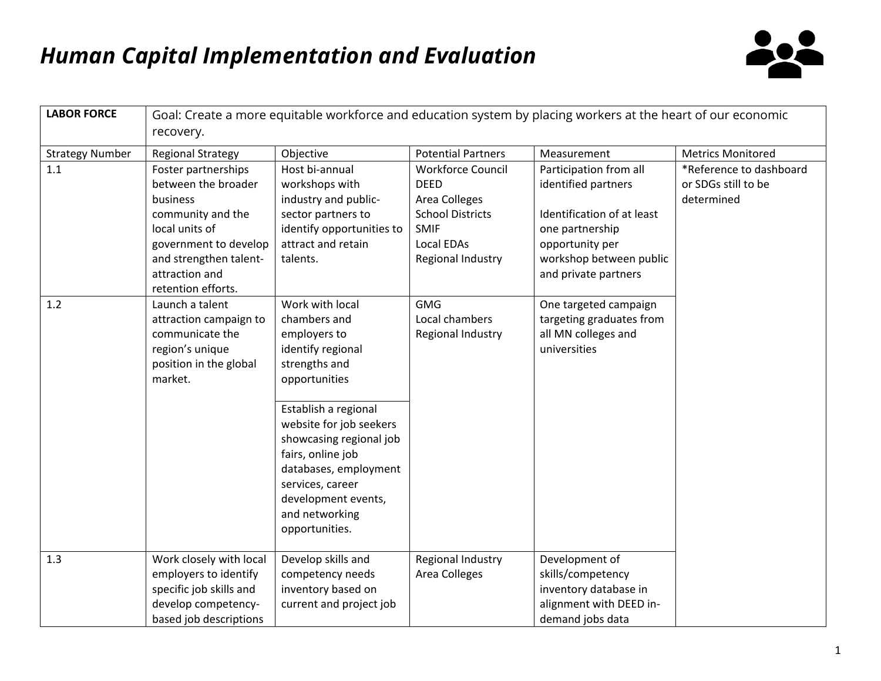

| <b>LABOR FORCE</b>     | Goal: Create a more equitable workforce and education system by placing workers at the heart of our economic<br>recovery.                                                                |                                                                                                                                                                                                                                                                                                                   |                                                                                                                                       |                                                                                                                                                                      |                                                              |  |  |
|------------------------|------------------------------------------------------------------------------------------------------------------------------------------------------------------------------------------|-------------------------------------------------------------------------------------------------------------------------------------------------------------------------------------------------------------------------------------------------------------------------------------------------------------------|---------------------------------------------------------------------------------------------------------------------------------------|----------------------------------------------------------------------------------------------------------------------------------------------------------------------|--------------------------------------------------------------|--|--|
| <b>Strategy Number</b> | <b>Regional Strategy</b>                                                                                                                                                                 | Objective                                                                                                                                                                                                                                                                                                         | <b>Potential Partners</b>                                                                                                             | Measurement                                                                                                                                                          | <b>Metrics Monitored</b>                                     |  |  |
| 1.1                    | Foster partnerships<br>between the broader<br>business<br>community and the<br>local units of<br>government to develop<br>and strengthen talent-<br>attraction and<br>retention efforts. | Host bi-annual<br>workshops with<br>industry and public-<br>sector partners to<br>identify opportunities to<br>attract and retain<br>talents.                                                                                                                                                                     | <b>Workforce Council</b><br><b>DEED</b><br>Area Colleges<br><b>School Districts</b><br><b>SMIF</b><br>Local EDAs<br>Regional Industry | Participation from all<br>identified partners<br>Identification of at least<br>one partnership<br>opportunity per<br>workshop between public<br>and private partners | *Reference to dashboard<br>or SDGs still to be<br>determined |  |  |
| 1.2                    | Launch a talent<br>attraction campaign to<br>communicate the<br>region's unique<br>position in the global<br>market.                                                                     | Work with local<br>chambers and<br>employers to<br>identify regional<br>strengths and<br>opportunities<br>Establish a regional<br>website for job seekers<br>showcasing regional job<br>fairs, online job<br>databases, employment<br>services, career<br>development events,<br>and networking<br>opportunities. | <b>GMG</b><br>Local chambers<br>Regional Industry                                                                                     | One targeted campaign<br>targeting graduates from<br>all MN colleges and<br>universities                                                                             |                                                              |  |  |
| 1.3                    | Work closely with local<br>employers to identify<br>specific job skills and<br>develop competency-<br>based job descriptions                                                             | Develop skills and<br>competency needs<br>inventory based on<br>current and project job                                                                                                                                                                                                                           | Regional Industry<br>Area Colleges                                                                                                    | Development of<br>skills/competency<br>inventory database in<br>alignment with DEED in-<br>demand jobs data                                                          |                                                              |  |  |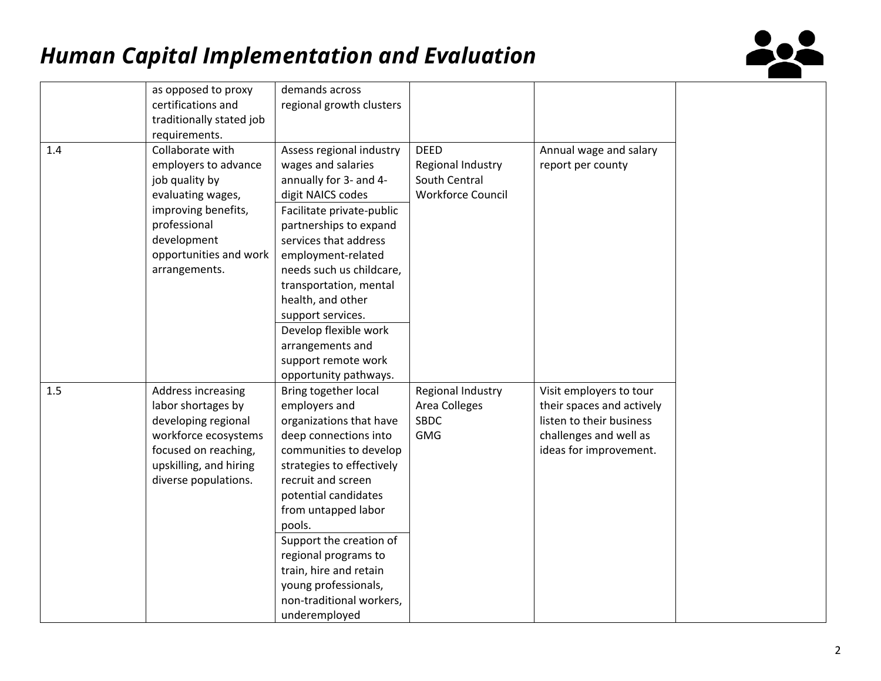

|         | as opposed to proxy<br>certifications and<br>traditionally stated job                                                                                                            | demands across<br>regional growth clusters                                                                                                                                                                                                                                                                                                                                                                 |                                                                               |                                                                                                                                      |
|---------|----------------------------------------------------------------------------------------------------------------------------------------------------------------------------------|------------------------------------------------------------------------------------------------------------------------------------------------------------------------------------------------------------------------------------------------------------------------------------------------------------------------------------------------------------------------------------------------------------|-------------------------------------------------------------------------------|--------------------------------------------------------------------------------------------------------------------------------------|
|         | requirements.                                                                                                                                                                    |                                                                                                                                                                                                                                                                                                                                                                                                            |                                                                               |                                                                                                                                      |
| $1.4\,$ | Collaborate with<br>employers to advance<br>job quality by<br>evaluating wages,<br>improving benefits,<br>professional<br>development<br>opportunities and work<br>arrangements. | Assess regional industry<br>wages and salaries<br>annually for 3- and 4-<br>digit NAICS codes<br>Facilitate private-public<br>partnerships to expand<br>services that address<br>employment-related<br>needs such us childcare,<br>transportation, mental<br>health, and other<br>support services.<br>Develop flexible work<br>arrangements and                                                           | <b>DEED</b><br>Regional Industry<br>South Central<br><b>Workforce Council</b> | Annual wage and salary<br>report per county                                                                                          |
|         |                                                                                                                                                                                  | support remote work                                                                                                                                                                                                                                                                                                                                                                                        |                                                                               |                                                                                                                                      |
| 1.5     | Address increasing<br>labor shortages by<br>developing regional<br>workforce ecosystems<br>focused on reaching,<br>upskilling, and hiring<br>diverse populations.                | opportunity pathways.<br>Bring together local<br>employers and<br>organizations that have<br>deep connections into<br>communities to develop<br>strategies to effectively<br>recruit and screen<br>potential candidates<br>from untapped labor<br>pools.<br>Support the creation of<br>regional programs to<br>train, hire and retain<br>young professionals,<br>non-traditional workers,<br>underemployed | Regional Industry<br>Area Colleges<br><b>SBDC</b><br><b>GMG</b>               | Visit employers to tour<br>their spaces and actively<br>listen to their business<br>challenges and well as<br>ideas for improvement. |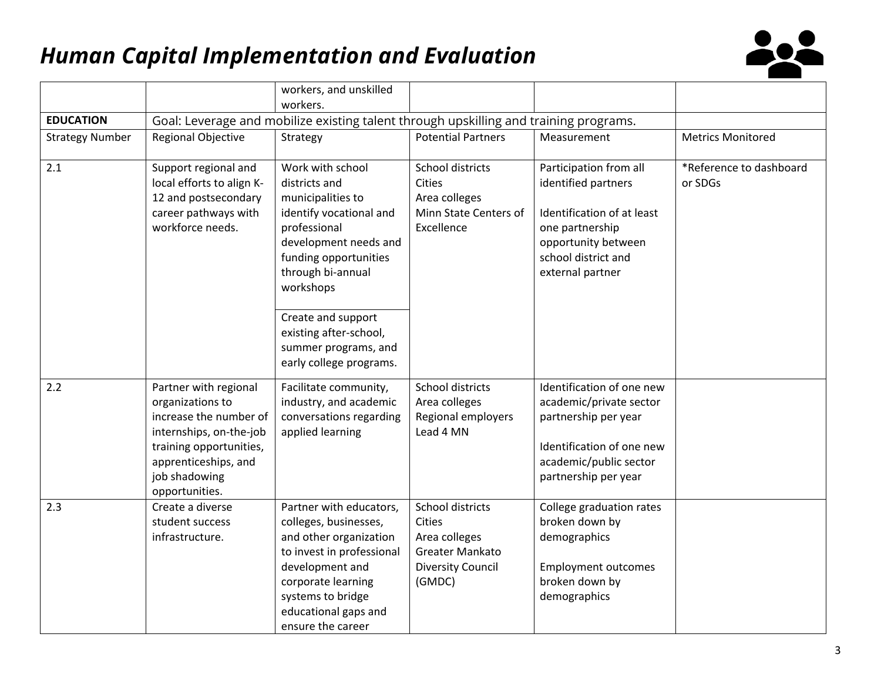

|                        |                                                                                                                                                                                      | workers, and unskilled                                                                                                                                                                                                                                                                   |                                                                                                      |                                                                                                                                                                  |                                    |
|------------------------|--------------------------------------------------------------------------------------------------------------------------------------------------------------------------------------|------------------------------------------------------------------------------------------------------------------------------------------------------------------------------------------------------------------------------------------------------------------------------------------|------------------------------------------------------------------------------------------------------|------------------------------------------------------------------------------------------------------------------------------------------------------------------|------------------------------------|
|                        |                                                                                                                                                                                      | workers.                                                                                                                                                                                                                                                                                 |                                                                                                      |                                                                                                                                                                  |                                    |
| <b>EDUCATION</b>       |                                                                                                                                                                                      | Goal: Leverage and mobilize existing talent through upskilling and training programs.                                                                                                                                                                                                    |                                                                                                      |                                                                                                                                                                  |                                    |
| <b>Strategy Number</b> | <b>Regional Objective</b>                                                                                                                                                            | Strategy                                                                                                                                                                                                                                                                                 | <b>Potential Partners</b>                                                                            | Measurement                                                                                                                                                      | <b>Metrics Monitored</b>           |
| 2.1                    | Support regional and<br>local efforts to align K-<br>12 and postsecondary<br>career pathways with<br>workforce needs.                                                                | Work with school<br>districts and<br>municipalities to<br>identify vocational and<br>professional<br>development needs and<br>funding opportunities<br>through bi-annual<br>workshops<br>Create and support<br>existing after-school,<br>summer programs, and<br>early college programs. | School districts<br><b>Cities</b><br>Area colleges<br>Minn State Centers of<br>Excellence            | Participation from all<br>identified partners<br>Identification of at least<br>one partnership<br>opportunity between<br>school district and<br>external partner | *Reference to dashboard<br>or SDGs |
| 2.2                    | Partner with regional<br>organizations to<br>increase the number of<br>internships, on-the-job<br>training opportunities,<br>apprenticeships, and<br>job shadowing<br>opportunities. | Facilitate community,<br>industry, and academic<br>conversations regarding<br>applied learning                                                                                                                                                                                           | School districts<br>Area colleges<br>Regional employers<br>Lead 4 MN                                 | Identification of one new<br>academic/private sector<br>partnership per year<br>Identification of one new<br>academic/public sector<br>partnership per year      |                                    |
| 2.3                    | Create a diverse<br>student success<br>infrastructure.                                                                                                                               | Partner with educators,<br>colleges, businesses,<br>and other organization<br>to invest in professional<br>development and<br>corporate learning<br>systems to bridge<br>educational gaps and<br>ensure the career                                                                       | School districts<br>Cities<br>Area colleges<br>Greater Mankato<br><b>Diversity Council</b><br>(GMDC) | College graduation rates<br>broken down by<br>demographics<br><b>Employment outcomes</b><br>broken down by<br>demographics                                       |                                    |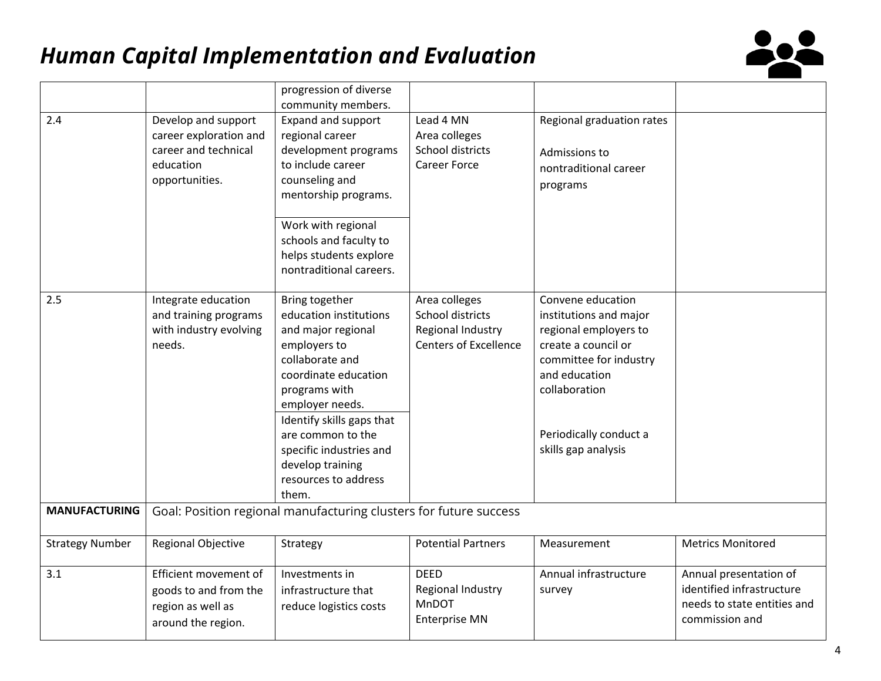

|                        |                                                                                                      | progression of diverse<br>community members.                                                                                                                                                                                                                                                    |                                                                                        |                                                                                                                                                                                                          |                                                                                                      |
|------------------------|------------------------------------------------------------------------------------------------------|-------------------------------------------------------------------------------------------------------------------------------------------------------------------------------------------------------------------------------------------------------------------------------------------------|----------------------------------------------------------------------------------------|----------------------------------------------------------------------------------------------------------------------------------------------------------------------------------------------------------|------------------------------------------------------------------------------------------------------|
| 2.4                    | Develop and support<br>career exploration and<br>career and technical<br>education<br>opportunities. | Expand and support<br>regional career<br>development programs<br>to include career<br>counseling and<br>mentorship programs.<br>Work with regional<br>schools and faculty to<br>helps students explore<br>nontraditional careers.                                                               | Lead 4 MN<br>Area colleges<br>School districts<br><b>Career Force</b>                  | Regional graduation rates<br>Admissions to<br>nontraditional career<br>programs                                                                                                                          |                                                                                                      |
| 2.5                    | Integrate education<br>and training programs<br>with industry evolving<br>needs.                     | Bring together<br>education institutions<br>and major regional<br>employers to<br>collaborate and<br>coordinate education<br>programs with<br>employer needs.<br>Identify skills gaps that<br>are common to the<br>specific industries and<br>develop training<br>resources to address<br>them. | Area colleges<br>School districts<br>Regional Industry<br><b>Centers of Excellence</b> | Convene education<br>institutions and major<br>regional employers to<br>create a council or<br>committee for industry<br>and education<br>collaboration<br>Periodically conduct a<br>skills gap analysis |                                                                                                      |
| <b>MANUFACTURING</b>   |                                                                                                      | Goal: Position regional manufacturing clusters for future success                                                                                                                                                                                                                               |                                                                                        |                                                                                                                                                                                                          |                                                                                                      |
| <b>Strategy Number</b> | Regional Objective                                                                                   | Strategy                                                                                                                                                                                                                                                                                        | <b>Potential Partners</b>                                                              | Measurement                                                                                                                                                                                              | <b>Metrics Monitored</b>                                                                             |
| 3.1                    | Efficient movement of<br>goods to and from the<br>region as well as<br>around the region.            | Investments in<br>infrastructure that<br>reduce logistics costs                                                                                                                                                                                                                                 | <b>DEED</b><br>Regional Industry<br>MnDOT<br><b>Enterprise MN</b>                      | Annual infrastructure<br>survey                                                                                                                                                                          | Annual presentation of<br>identified infrastructure<br>needs to state entities and<br>commission and |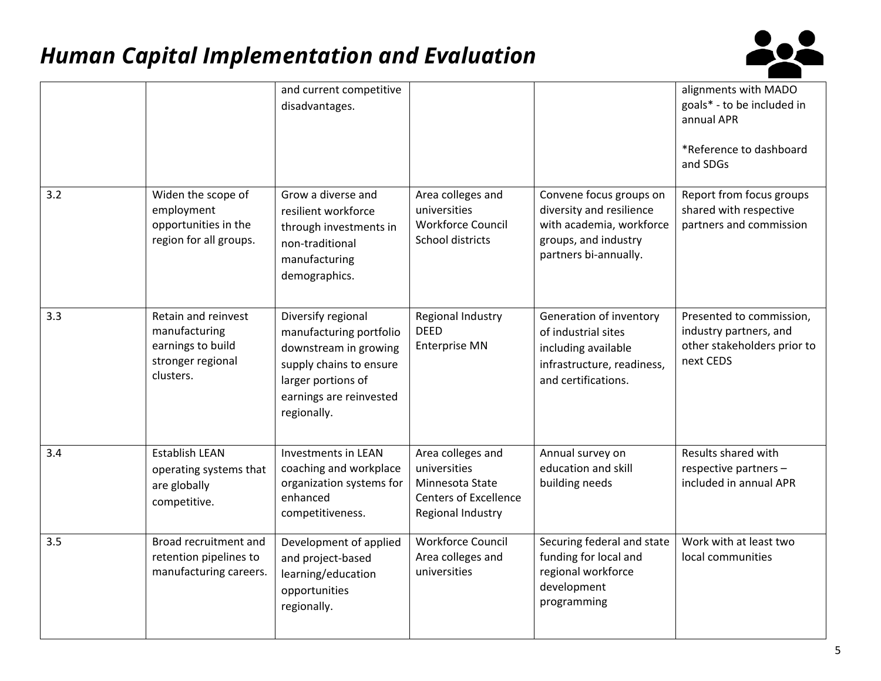

|     |                                                                                             | and current competitive<br>disadvantages.                                                                                                                         |                                                                                                           |                                                                                                                                  | alignments with MADO<br>goals* - to be included in<br>annual APR<br>*Reference to dashboard<br>and SDGs |
|-----|---------------------------------------------------------------------------------------------|-------------------------------------------------------------------------------------------------------------------------------------------------------------------|-----------------------------------------------------------------------------------------------------------|----------------------------------------------------------------------------------------------------------------------------------|---------------------------------------------------------------------------------------------------------|
| 3.2 | Widen the scope of<br>employment<br>opportunities in the<br>region for all groups.          | Grow a diverse and<br>resilient workforce<br>through investments in<br>non-traditional<br>manufacturing<br>demographics.                                          | Area colleges and<br>universities<br><b>Workforce Council</b><br>School districts                         | Convene focus groups on<br>diversity and resilience<br>with academia, workforce<br>groups, and industry<br>partners bi-annually. | Report from focus groups<br>shared with respective<br>partners and commission                           |
| 3.3 | Retain and reinvest<br>manufacturing<br>earnings to build<br>stronger regional<br>clusters. | Diversify regional<br>manufacturing portfolio<br>downstream in growing<br>supply chains to ensure<br>larger portions of<br>earnings are reinvested<br>regionally. | Regional Industry<br><b>DEED</b><br><b>Enterprise MN</b>                                                  | Generation of inventory<br>of industrial sites<br>including available<br>infrastructure, readiness,<br>and certifications.       | Presented to commission,<br>industry partners, and<br>other stakeholders prior to<br>next CEDS          |
| 3.4 | <b>Establish LEAN</b><br>operating systems that<br>are globally<br>competitive.             | <b>Investments in LEAN</b><br>coaching and workplace<br>organization systems for<br>enhanced<br>competitiveness.                                                  | Area colleges and<br>universities<br>Minnesota State<br><b>Centers of Excellence</b><br>Regional Industry | Annual survey on<br>education and skill<br>building needs                                                                        | Results shared with<br>respective partners -<br>included in annual APR                                  |
| 3.5 | Broad recruitment and<br>retention pipelines to<br>manufacturing careers.                   | Development of applied<br>and project-based<br>learning/education<br>opportunities<br>regionally.                                                                 | <b>Workforce Council</b><br>Area colleges and<br>universities                                             | Securing federal and state<br>funding for local and<br>regional workforce<br>development<br>programming                          | Work with at least two<br>local communities                                                             |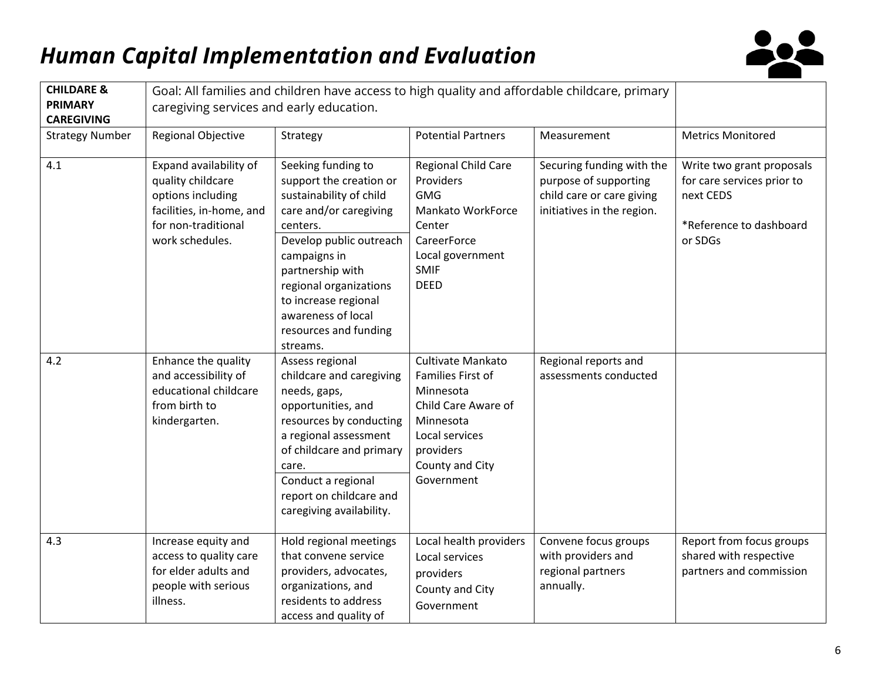

| <b>CHILDARE &amp;</b>               | Goal: All families and children have access to high quality and affordable childcare, primary                                          |                                                                                                                                                                                                                                                                                            |                                                                                                                                                         |                                                                                                               |                                                                                                            |
|-------------------------------------|----------------------------------------------------------------------------------------------------------------------------------------|--------------------------------------------------------------------------------------------------------------------------------------------------------------------------------------------------------------------------------------------------------------------------------------------|---------------------------------------------------------------------------------------------------------------------------------------------------------|---------------------------------------------------------------------------------------------------------------|------------------------------------------------------------------------------------------------------------|
| <b>PRIMARY</b><br><b>CAREGIVING</b> | caregiving services and early education.                                                                                               |                                                                                                                                                                                                                                                                                            |                                                                                                                                                         |                                                                                                               |                                                                                                            |
| <b>Strategy Number</b>              | Regional Objective                                                                                                                     | Strategy                                                                                                                                                                                                                                                                                   | <b>Potential Partners</b>                                                                                                                               | Measurement                                                                                                   | <b>Metrics Monitored</b>                                                                                   |
| 4.1                                 | Expand availability of<br>quality childcare<br>options including<br>facilities, in-home, and<br>for non-traditional<br>work schedules. | Seeking funding to<br>support the creation or<br>sustainability of child<br>care and/or caregiving<br>centers.<br>Develop public outreach<br>campaigns in<br>partnership with<br>regional organizations<br>to increase regional<br>awareness of local<br>resources and funding<br>streams. | Regional Child Care<br>Providers<br><b>GMG</b><br>Mankato WorkForce<br>Center<br>CareerForce<br>Local government<br><b>SMIF</b><br><b>DEED</b>          | Securing funding with the<br>purpose of supporting<br>child care or care giving<br>initiatives in the region. | Write two grant proposals<br>for care services prior to<br>next CEDS<br>*Reference to dashboard<br>or SDGs |
| 4.2                                 | Enhance the quality<br>and accessibility of<br>educational childcare<br>from birth to<br>kindergarten.                                 | Assess regional<br>childcare and caregiving<br>needs, gaps,<br>opportunities, and<br>resources by conducting<br>a regional assessment<br>of childcare and primary<br>care.<br>Conduct a regional<br>report on childcare and<br>caregiving availability.                                    | Cultivate Mankato<br>Families First of<br>Minnesota<br>Child Care Aware of<br>Minnesota<br>Local services<br>providers<br>County and City<br>Government | Regional reports and<br>assessments conducted                                                                 |                                                                                                            |
| 4.3                                 | Increase equity and<br>access to quality care<br>for elder adults and<br>people with serious<br>illness.                               | Hold regional meetings<br>that convene service<br>providers, advocates,<br>organizations, and<br>residents to address<br>access and quality of                                                                                                                                             | Local health providers<br>Local services<br>providers<br>County and City<br>Government                                                                  | Convene focus groups<br>with providers and<br>regional partners<br>annually.                                  | Report from focus groups<br>shared with respective<br>partners and commission                              |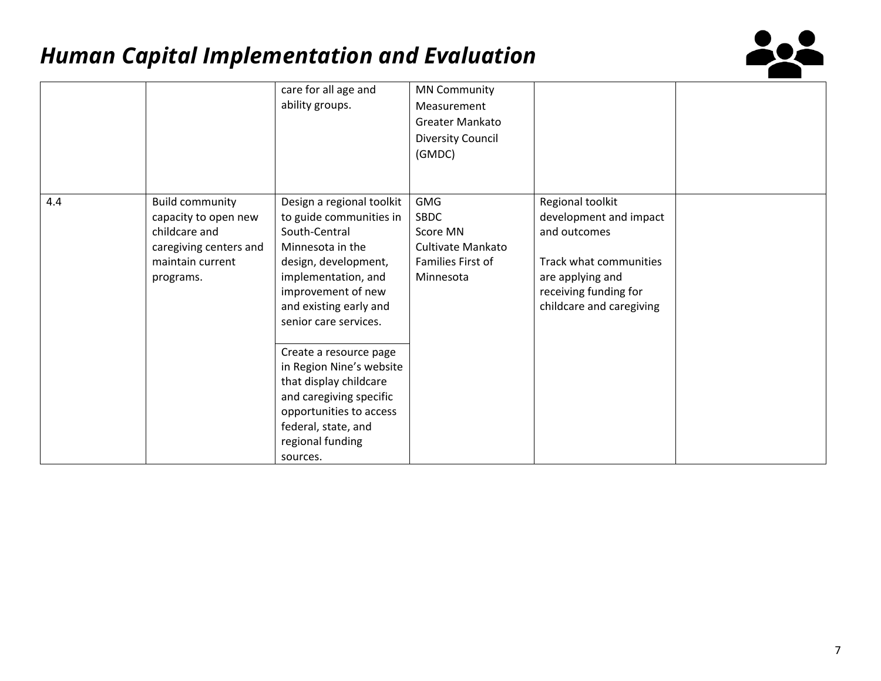

|     |                                                                                                                            | care for all age and<br>ability groups.                                                                                                                                                                                                                                                                                                                                                                        | <b>MN Community</b><br>Measurement<br>Greater Mankato<br>Diversity Council<br>(GMDC)         |                                                                                                                                                               |  |
|-----|----------------------------------------------------------------------------------------------------------------------------|----------------------------------------------------------------------------------------------------------------------------------------------------------------------------------------------------------------------------------------------------------------------------------------------------------------------------------------------------------------------------------------------------------------|----------------------------------------------------------------------------------------------|---------------------------------------------------------------------------------------------------------------------------------------------------------------|--|
| 4.4 | <b>Build community</b><br>capacity to open new<br>childcare and<br>caregiving centers and<br>maintain current<br>programs. | Design a regional toolkit<br>to guide communities in<br>South-Central<br>Minnesota in the<br>design, development,<br>implementation, and<br>improvement of new<br>and existing early and<br>senior care services.<br>Create a resource page<br>in Region Nine's website<br>that display childcare<br>and caregiving specific<br>opportunities to access<br>federal, state, and<br>regional funding<br>sources. | <b>GMG</b><br><b>SBDC</b><br>Score MN<br>Cultivate Mankato<br>Families First of<br>Minnesota | Regional toolkit<br>development and impact<br>and outcomes<br>Track what communities<br>are applying and<br>receiving funding for<br>childcare and caregiving |  |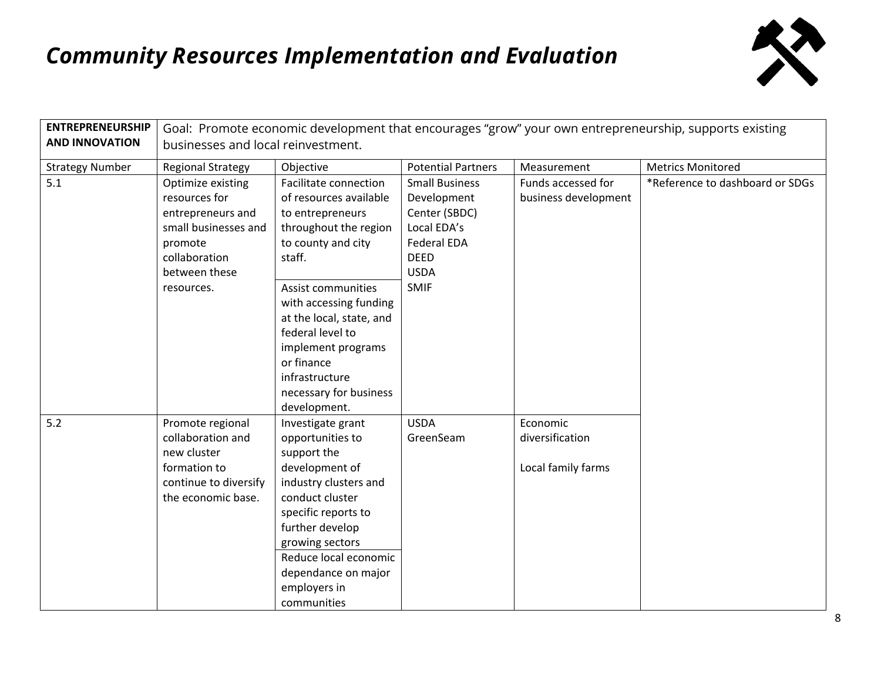

| <b>ENTREPRENEURSHIP</b> | Goal: Promote economic development that encourages "grow" your own entrepreneurship, supports existing                       |                                                                                                                                                                                                                                                                |                                                                                                                          |                                                   |                                 |  |
|-------------------------|------------------------------------------------------------------------------------------------------------------------------|----------------------------------------------------------------------------------------------------------------------------------------------------------------------------------------------------------------------------------------------------------------|--------------------------------------------------------------------------------------------------------------------------|---------------------------------------------------|---------------------------------|--|
| <b>AND INNOVATION</b>   | businesses and local reinvestment.                                                                                           |                                                                                                                                                                                                                                                                |                                                                                                                          |                                                   |                                 |  |
| <b>Strategy Number</b>  | <b>Regional Strategy</b>                                                                                                     | Objective                                                                                                                                                                                                                                                      | <b>Potential Partners</b>                                                                                                | Measurement                                       | <b>Metrics Monitored</b>        |  |
| 5.1                     | Optimize existing<br>resources for<br>entrepreneurs and<br>small businesses and<br>promote<br>collaboration<br>between these | Facilitate connection<br>of resources available<br>to entrepreneurs<br>throughout the region<br>to county and city<br>staff.                                                                                                                                   | <b>Small Business</b><br>Development<br>Center (SBDC)<br>Local EDA's<br><b>Federal EDA</b><br><b>DEED</b><br><b>USDA</b> | Funds accessed for<br>business development        | *Reference to dashboard or SDGs |  |
|                         | resources.                                                                                                                   | <b>Assist communities</b><br>with accessing funding<br>at the local, state, and<br>federal level to<br>implement programs<br>or finance<br>infrastructure<br>necessary for business<br>development.                                                            | <b>SMIF</b>                                                                                                              |                                                   |                                 |  |
| 5.2                     | Promote regional<br>collaboration and<br>new cluster<br>formation to<br>continue to diversify<br>the economic base.          | Investigate grant<br>opportunities to<br>support the<br>development of<br>industry clusters and<br>conduct cluster<br>specific reports to<br>further develop<br>growing sectors<br>Reduce local economic<br>dependance on major<br>employers in<br>communities | <b>USDA</b><br>GreenSeam                                                                                                 | Economic<br>diversification<br>Local family farms |                                 |  |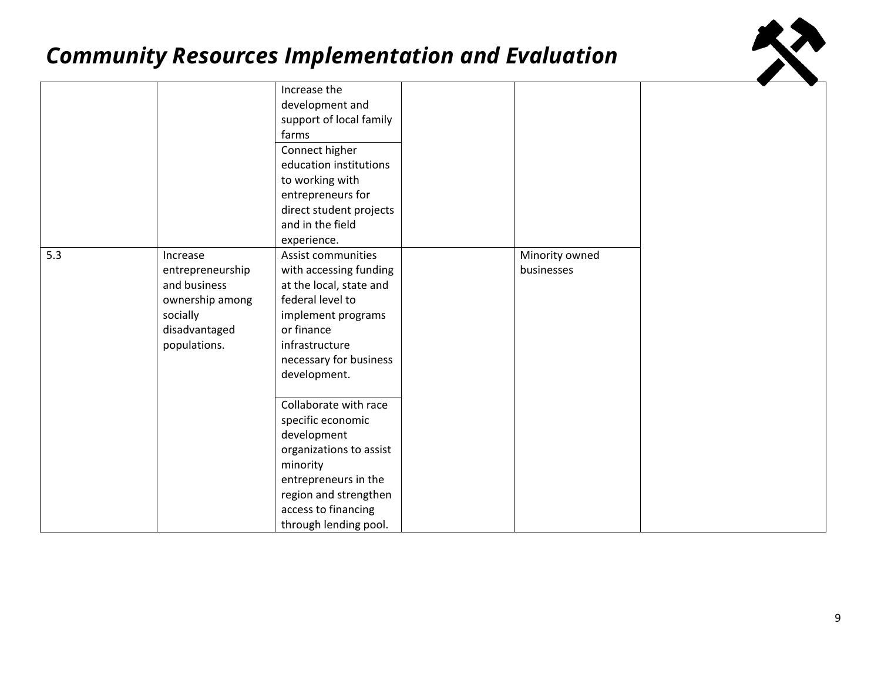

|     |                  | Increase the            |                |
|-----|------------------|-------------------------|----------------|
|     |                  | development and         |                |
|     |                  | support of local family |                |
|     |                  | farms                   |                |
|     |                  | Connect higher          |                |
|     |                  | education institutions  |                |
|     |                  | to working with         |                |
|     |                  | entrepreneurs for       |                |
|     |                  | direct student projects |                |
|     |                  | and in the field        |                |
|     |                  | experience.             |                |
| 5.3 | Increase         | Assist communities      | Minority owned |
|     | entrepreneurship | with accessing funding  | businesses     |
|     | and business     | at the local, state and |                |
|     | ownership among  | federal level to        |                |
|     | socially         | implement programs      |                |
|     | disadvantaged    | or finance              |                |
|     | populations.     | infrastructure          |                |
|     |                  | necessary for business  |                |
|     |                  | development.            |                |
|     |                  |                         |                |
|     |                  | Collaborate with race   |                |
|     |                  | specific economic       |                |
|     |                  | development             |                |
|     |                  | organizations to assist |                |
|     |                  | minority                |                |
|     |                  | entrepreneurs in the    |                |
|     |                  | region and strengthen   |                |
|     |                  | access to financing     |                |
|     |                  | through lending pool.   |                |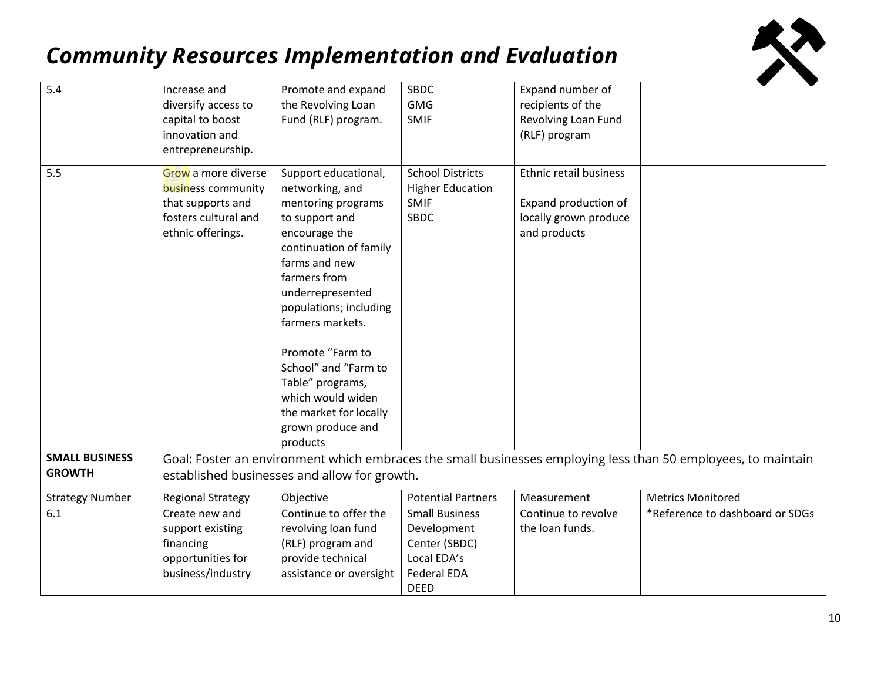

| 5.4                                    | Increase and<br>diversify access to<br>capital to boost<br>innovation and<br>entrepreneurship.              | Promote and expand<br>the Revolving Loan<br>Fund (RLF) program.                                                                                                                                                                                                                                                                                                               | SBDC<br><b>GMG</b><br><b>SMIF</b>                                                          | Expand number of<br>recipients of the<br>Revolving Loan Fund<br>(RLF) program           |                                                                                                               |
|----------------------------------------|-------------------------------------------------------------------------------------------------------------|-------------------------------------------------------------------------------------------------------------------------------------------------------------------------------------------------------------------------------------------------------------------------------------------------------------------------------------------------------------------------------|--------------------------------------------------------------------------------------------|-----------------------------------------------------------------------------------------|---------------------------------------------------------------------------------------------------------------|
| 5.5                                    | Grow a more diverse<br>business community<br>that supports and<br>fosters cultural and<br>ethnic offerings. | Support educational,<br>networking, and<br>mentoring programs<br>to support and<br>encourage the<br>continuation of family<br>farms and new<br>farmers from<br>underrepresented<br>populations; including<br>farmers markets.<br>Promote "Farm to<br>School" and "Farm to<br>Table" programs,<br>which would widen<br>the market for locally<br>grown produce and<br>products | <b>School Districts</b><br><b>Higher Education</b><br><b>SMIF</b><br><b>SBDC</b>           | Ethnic retail business<br>Expand production of<br>locally grown produce<br>and products |                                                                                                               |
| <b>SMALL BUSINESS</b><br><b>GROWTH</b> |                                                                                                             | established businesses and allow for growth.                                                                                                                                                                                                                                                                                                                                  |                                                                                            |                                                                                         | Goal: Foster an environment which embraces the small businesses employing less than 50 employees, to maintain |
| <b>Strategy Number</b>                 | <b>Regional Strategy</b>                                                                                    | Objective                                                                                                                                                                                                                                                                                                                                                                     | <b>Potential Partners</b>                                                                  | Measurement                                                                             | <b>Metrics Monitored</b>                                                                                      |
| 6.1                                    | Create new and<br>support existing<br>financing<br>opportunities for<br>business/industry                   | Continue to offer the<br>revolving loan fund<br>(RLF) program and<br>provide technical<br>assistance or oversight                                                                                                                                                                                                                                                             | <b>Small Business</b><br>Development<br>Center (SBDC)<br>Local EDA's<br><b>Federal EDA</b> | Continue to revolve<br>the loan funds.                                                  | *Reference to dashboard or SDGs                                                                               |
|                                        |                                                                                                             |                                                                                                                                                                                                                                                                                                                                                                               | <b>DEED</b>                                                                                |                                                                                         |                                                                                                               |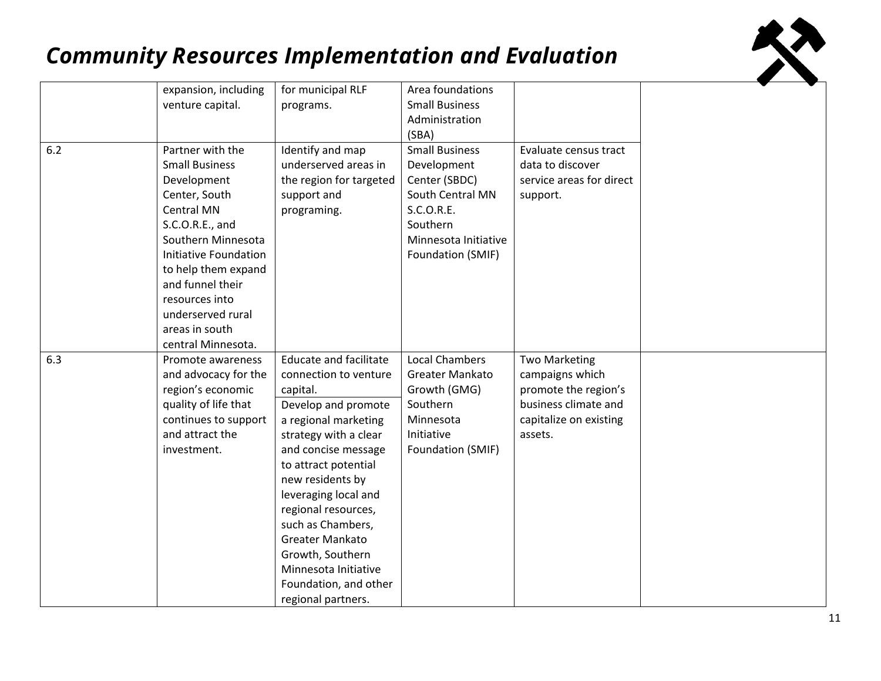

|     | expansion, including                                                                                                                                                                                                                                                                       | for municipal RLF                                                                                                                                                                                                                                                                                                                                                                               | Area foundations                                                                                                                                 |                                                                                                                              |  |
|-----|--------------------------------------------------------------------------------------------------------------------------------------------------------------------------------------------------------------------------------------------------------------------------------------------|-------------------------------------------------------------------------------------------------------------------------------------------------------------------------------------------------------------------------------------------------------------------------------------------------------------------------------------------------------------------------------------------------|--------------------------------------------------------------------------------------------------------------------------------------------------|------------------------------------------------------------------------------------------------------------------------------|--|
|     | venture capital.                                                                                                                                                                                                                                                                           | programs.                                                                                                                                                                                                                                                                                                                                                                                       | <b>Small Business</b>                                                                                                                            |                                                                                                                              |  |
|     |                                                                                                                                                                                                                                                                                            |                                                                                                                                                                                                                                                                                                                                                                                                 | Administration                                                                                                                                   |                                                                                                                              |  |
|     |                                                                                                                                                                                                                                                                                            |                                                                                                                                                                                                                                                                                                                                                                                                 | (SBA)                                                                                                                                            |                                                                                                                              |  |
| 6.2 | Partner with the<br><b>Small Business</b><br>Development<br>Center, South<br><b>Central MN</b><br>S.C.O.R.E., and<br>Southern Minnesota<br>Initiative Foundation<br>to help them expand<br>and funnel their<br>resources into<br>underserved rural<br>areas in south<br>central Minnesota. | Identify and map<br>underserved areas in<br>the region for targeted<br>support and<br>programing.                                                                                                                                                                                                                                                                                               | <b>Small Business</b><br>Development<br>Center (SBDC)<br>South Central MN<br>S.C.O.R.E.<br>Southern<br>Minnesota Initiative<br>Foundation (SMIF) | Evaluate census tract<br>data to discover<br>service areas for direct<br>support.                                            |  |
| 6.3 | Promote awareness<br>and advocacy for the<br>region's economic<br>quality of life that<br>continues to support<br>and attract the<br>investment.                                                                                                                                           | <b>Educate and facilitate</b><br>connection to venture<br>capital.<br>Develop and promote<br>a regional marketing<br>strategy with a clear<br>and concise message<br>to attract potential<br>new residents by<br>leveraging local and<br>regional resources,<br>such as Chambers,<br>Greater Mankato<br>Growth, Southern<br>Minnesota Initiative<br>Foundation, and other<br>regional partners. | <b>Local Chambers</b><br>Greater Mankato<br>Growth (GMG)<br>Southern<br>Minnesota<br>Initiative<br>Foundation (SMIF)                             | <b>Two Marketing</b><br>campaigns which<br>promote the region's<br>business climate and<br>capitalize on existing<br>assets. |  |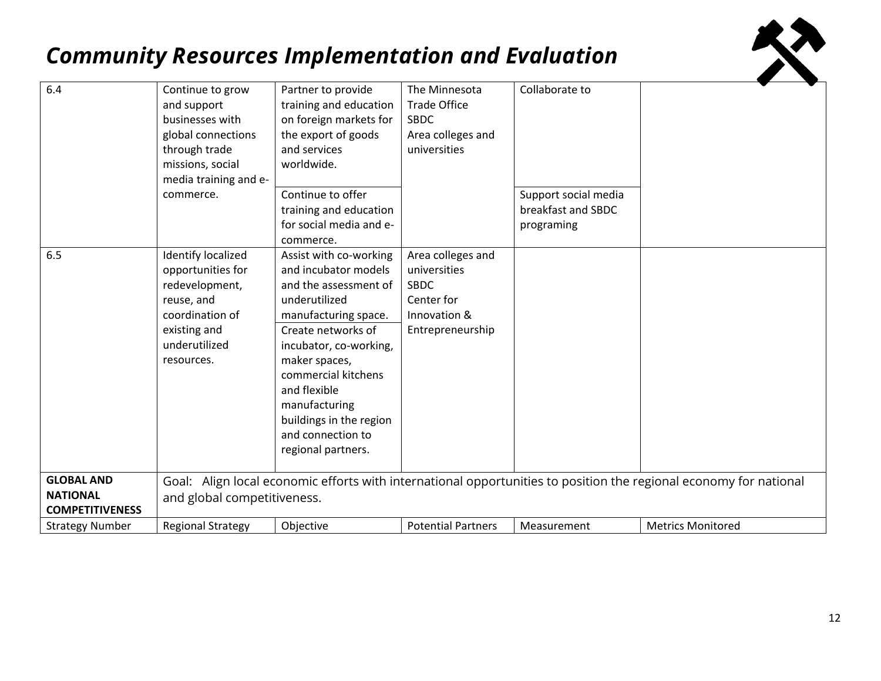

| 6.4                                                            | Continue to grow<br>and support<br>businesses with<br>global connections<br>through trade<br>missions, social<br>media training and e-<br>commerce. | Partner to provide<br>training and education<br>on foreign markets for<br>the export of goods<br>and services<br>worldwide.<br>Continue to offer<br>training and education<br>for social media and e-<br>commerce.                                                                                              | The Minnesota<br><b>Trade Office</b><br><b>SBDC</b><br>Area colleges and<br>universities           | Collaborate to<br>Support social media<br>breakfast and SBDC<br>programing |                                                                                                                   |
|----------------------------------------------------------------|-----------------------------------------------------------------------------------------------------------------------------------------------------|-----------------------------------------------------------------------------------------------------------------------------------------------------------------------------------------------------------------------------------------------------------------------------------------------------------------|----------------------------------------------------------------------------------------------------|----------------------------------------------------------------------------|-------------------------------------------------------------------------------------------------------------------|
| 6.5                                                            | <b>Identify localized</b><br>opportunities for<br>redevelopment,<br>reuse, and<br>coordination of<br>existing and<br>underutilized<br>resources.    | Assist with co-working<br>and incubator models<br>and the assessment of<br>underutilized<br>manufacturing space.<br>Create networks of<br>incubator, co-working,<br>maker spaces,<br>commercial kitchens<br>and flexible<br>manufacturing<br>buildings in the region<br>and connection to<br>regional partners. | Area colleges and<br>universities<br><b>SBDC</b><br>Center for<br>Innovation &<br>Entrepreneurship |                                                                            |                                                                                                                   |
| <b>GLOBAL AND</b><br><b>NATIONAL</b><br><b>COMPETITIVENESS</b> | and global competitiveness.                                                                                                                         |                                                                                                                                                                                                                                                                                                                 |                                                                                                    |                                                                            | Goal: Align local economic efforts with international opportunities to position the regional economy for national |
| <b>Strategy Number</b>                                         | <b>Regional Strategy</b>                                                                                                                            | Objective                                                                                                                                                                                                                                                                                                       | <b>Potential Partners</b>                                                                          | Measurement                                                                | <b>Metrics Monitored</b>                                                                                          |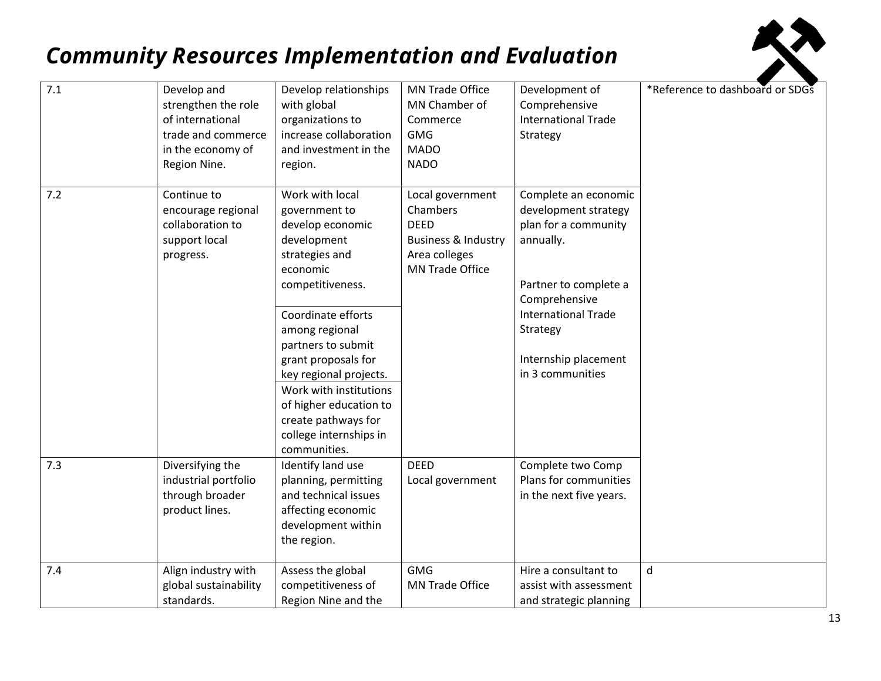

| 7.1 | Develop and<br>strengthen the role<br>of international<br>trade and commerce<br>in the economy of<br>Region Nine. | Develop relationships<br>with global<br>organizations to<br>increase collaboration<br>and investment in the<br>region.                                                                   | <b>MN Trade Office</b><br>MN Chamber of<br>Commerce<br><b>GMG</b><br><b>MADO</b><br><b>NADO</b>                          | Development of<br>Comprehensive<br><b>International Trade</b><br>Strategy                                                                                             | *Reference to dashboard or SDGS |
|-----|-------------------------------------------------------------------------------------------------------------------|------------------------------------------------------------------------------------------------------------------------------------------------------------------------------------------|--------------------------------------------------------------------------------------------------------------------------|-----------------------------------------------------------------------------------------------------------------------------------------------------------------------|---------------------------------|
| 7.2 | Continue to<br>encourage regional<br>collaboration to<br>support local<br>progress.                               | Work with local<br>government to<br>develop economic<br>development<br>strategies and<br>economic<br>competitiveness.<br>Coordinate efforts<br>among regional                            | Local government<br>Chambers<br><b>DEED</b><br><b>Business &amp; Industry</b><br>Area colleges<br><b>MN Trade Office</b> | Complete an economic<br>development strategy<br>plan for a community<br>annually.<br>Partner to complete a<br>Comprehensive<br><b>International Trade</b><br>Strategy |                                 |
|     |                                                                                                                   | partners to submit<br>grant proposals for<br>key regional projects.<br>Work with institutions<br>of higher education to<br>create pathways for<br>college internships in<br>communities. |                                                                                                                          | Internship placement<br>in 3 communities                                                                                                                              |                                 |
| 7.3 | Diversifying the<br>industrial portfolio<br>through broader<br>product lines.                                     | Identify land use<br>planning, permitting<br>and technical issues<br>affecting economic<br>development within<br>the region.                                                             | <b>DEED</b><br>Local government                                                                                          | Complete two Comp<br>Plans for communities<br>in the next five years.                                                                                                 |                                 |
| 7.4 | Align industry with<br>global sustainability<br>standards.                                                        | Assess the global<br>competitiveness of<br>Region Nine and the                                                                                                                           | <b>GMG</b><br>MN Trade Office                                                                                            | Hire a consultant to<br>assist with assessment<br>and strategic planning                                                                                              | d                               |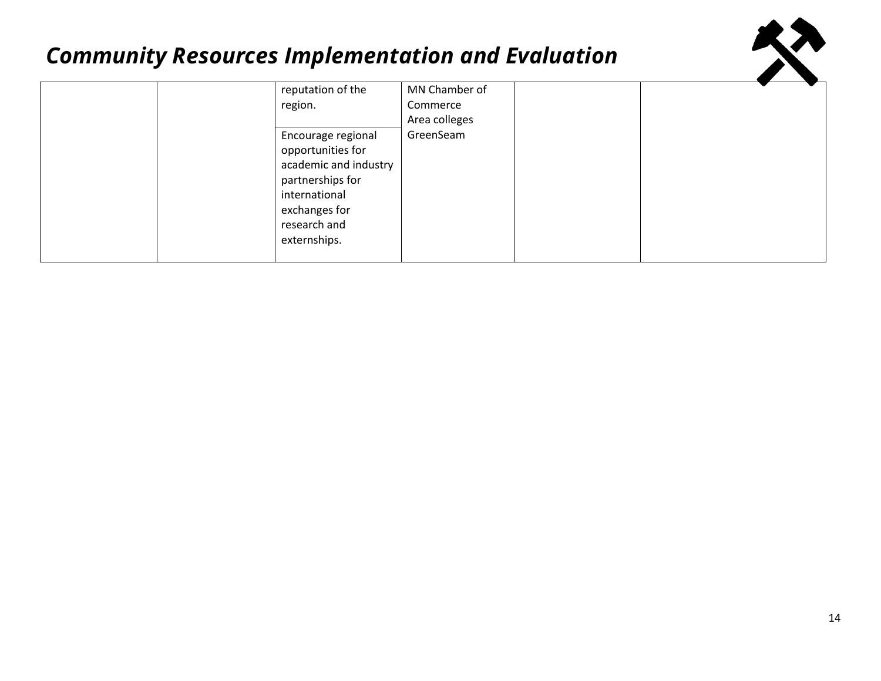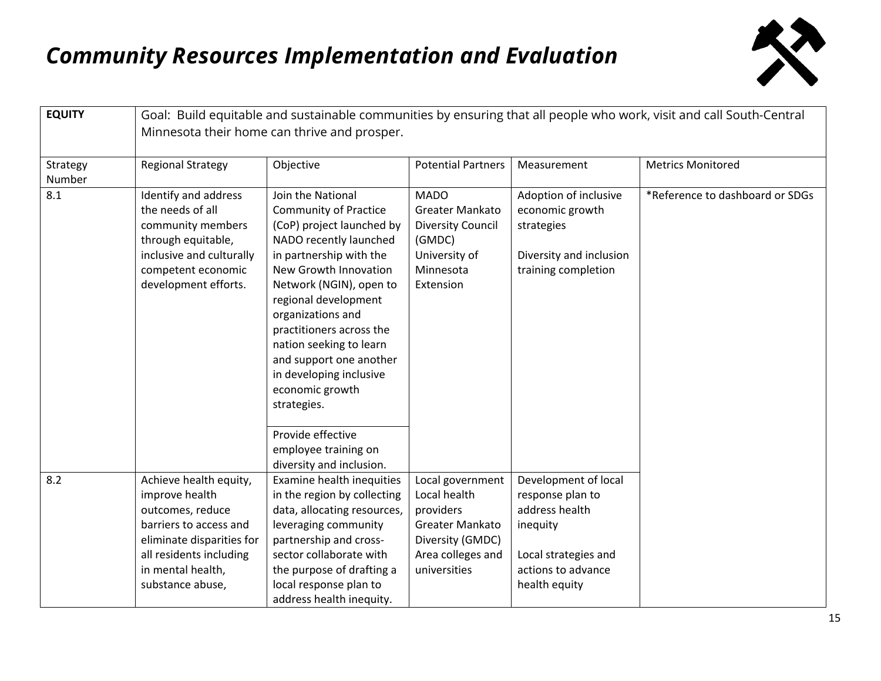

| <b>EQUITY</b>      | Goal: Build equitable and sustainable communities by ensuring that all people who work, visit and call South-Central<br>Minnesota their home can thrive and prosper.                    |                                                                                                                                                                                                                                                                                                                                                                                                          |                                                                                                                           |                                                                                                                                       |                                 |  |  |
|--------------------|-----------------------------------------------------------------------------------------------------------------------------------------------------------------------------------------|----------------------------------------------------------------------------------------------------------------------------------------------------------------------------------------------------------------------------------------------------------------------------------------------------------------------------------------------------------------------------------------------------------|---------------------------------------------------------------------------------------------------------------------------|---------------------------------------------------------------------------------------------------------------------------------------|---------------------------------|--|--|
|                    |                                                                                                                                                                                         |                                                                                                                                                                                                                                                                                                                                                                                                          |                                                                                                                           |                                                                                                                                       |                                 |  |  |
| Strategy<br>Number | <b>Regional Strategy</b>                                                                                                                                                                | Objective                                                                                                                                                                                                                                                                                                                                                                                                | <b>Potential Partners</b>                                                                                                 | Measurement                                                                                                                           | <b>Metrics Monitored</b>        |  |  |
| 8.1                | Identify and address<br>the needs of all<br>community members<br>through equitable,<br>inclusive and culturally<br>competent economic<br>development efforts.                           | Join the National<br><b>Community of Practice</b><br>(CoP) project launched by<br>NADO recently launched<br>in partnership with the<br>New Growth Innovation<br>Network (NGIN), open to<br>regional development<br>organizations and<br>practitioners across the<br>nation seeking to learn<br>and support one another<br>in developing inclusive<br>economic growth<br>strategies.<br>Provide effective | <b>MADO</b><br><b>Greater Mankato</b><br><b>Diversity Council</b><br>(GMDC)<br>University of<br>Minnesota<br>Extension    | Adoption of inclusive<br>economic growth<br>strategies<br>Diversity and inclusion<br>training completion                              | *Reference to dashboard or SDGs |  |  |
|                    |                                                                                                                                                                                         | employee training on<br>diversity and inclusion.                                                                                                                                                                                                                                                                                                                                                         |                                                                                                                           |                                                                                                                                       |                                 |  |  |
| 8.2                | Achieve health equity,<br>improve health<br>outcomes, reduce<br>barriers to access and<br>eliminate disparities for<br>all residents including<br>in mental health,<br>substance abuse, | Examine health inequities<br>in the region by collecting<br>data, allocating resources,<br>leveraging community<br>partnership and cross-<br>sector collaborate with<br>the purpose of drafting a<br>local response plan to<br>address health inequity.                                                                                                                                                  | Local government<br>Local health<br>providers<br>Greater Mankato<br>Diversity (GMDC)<br>Area colleges and<br>universities | Development of local<br>response plan to<br>address health<br>inequity<br>Local strategies and<br>actions to advance<br>health equity |                                 |  |  |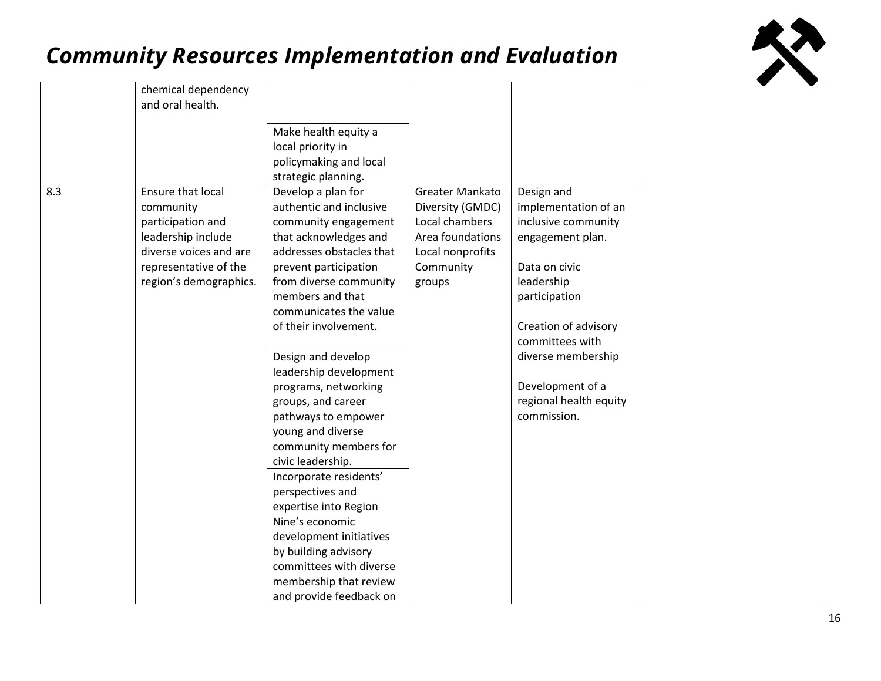

|     | chemical dependency    |                          |                  |                        |  |
|-----|------------------------|--------------------------|------------------|------------------------|--|
|     | and oral health.       |                          |                  |                        |  |
|     |                        |                          |                  |                        |  |
|     |                        | Make health equity a     |                  |                        |  |
|     |                        | local priority in        |                  |                        |  |
|     |                        | policymaking and local   |                  |                        |  |
|     |                        | strategic planning.      |                  |                        |  |
| 8.3 | Ensure that local      | Develop a plan for       | Greater Mankato  | Design and             |  |
|     | community              | authentic and inclusive  | Diversity (GMDC) | implementation of an   |  |
|     | participation and      | community engagement     | Local chambers   | inclusive community    |  |
|     | leadership include     | that acknowledges and    | Area foundations | engagement plan.       |  |
|     | diverse voices and are | addresses obstacles that | Local nonprofits |                        |  |
|     | representative of the  | prevent participation    | Community        | Data on civic          |  |
|     | region's demographics. | from diverse community   | groups           | leadership             |  |
|     |                        | members and that         |                  | participation          |  |
|     |                        | communicates the value   |                  |                        |  |
|     |                        | of their involvement.    |                  | Creation of advisory   |  |
|     |                        |                          |                  | committees with        |  |
|     |                        | Design and develop       |                  | diverse membership     |  |
|     |                        | leadership development   |                  |                        |  |
|     |                        | programs, networking     |                  | Development of a       |  |
|     |                        | groups, and career       |                  | regional health equity |  |
|     |                        | pathways to empower      |                  | commission.            |  |
|     |                        | young and diverse        |                  |                        |  |
|     |                        | community members for    |                  |                        |  |
|     |                        | civic leadership.        |                  |                        |  |
|     |                        | Incorporate residents'   |                  |                        |  |
|     |                        | perspectives and         |                  |                        |  |
|     |                        | expertise into Region    |                  |                        |  |
|     |                        | Nine's economic          |                  |                        |  |
|     |                        | development initiatives  |                  |                        |  |
|     |                        | by building advisory     |                  |                        |  |
|     |                        | committees with diverse  |                  |                        |  |
|     |                        | membership that review   |                  |                        |  |
|     |                        | and provide feedback on  |                  |                        |  |
|     |                        |                          |                  |                        |  |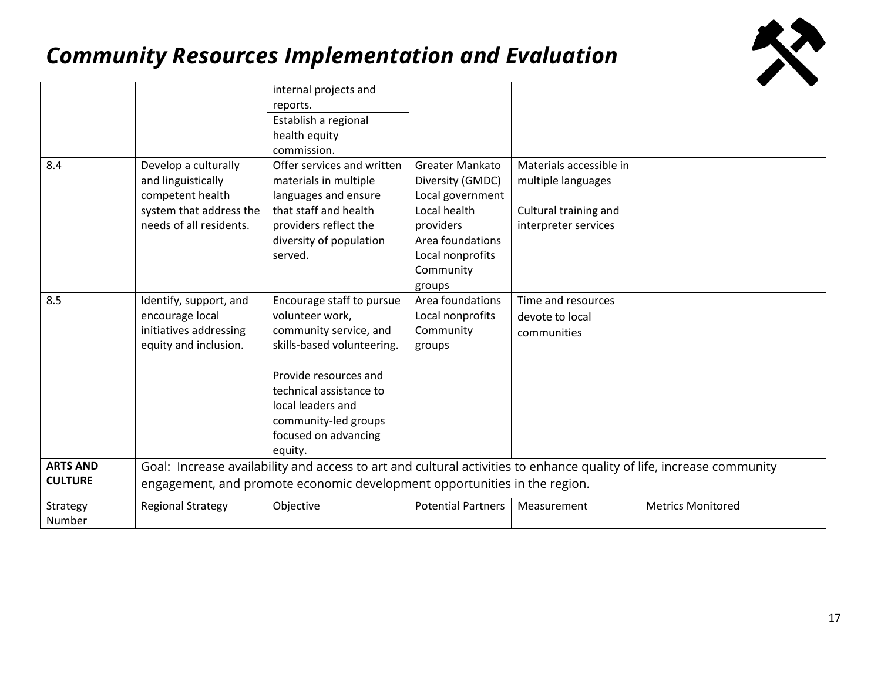

|                                   |                                                                                                                      | internal projects and                                                                                                                                                                                                                    |                                                                                      |                                                                                                |                          |
|-----------------------------------|----------------------------------------------------------------------------------------------------------------------|------------------------------------------------------------------------------------------------------------------------------------------------------------------------------------------------------------------------------------------|--------------------------------------------------------------------------------------|------------------------------------------------------------------------------------------------|--------------------------|
|                                   |                                                                                                                      | reports.                                                                                                                                                                                                                                 |                                                                                      |                                                                                                |                          |
|                                   |                                                                                                                      | Establish a regional                                                                                                                                                                                                                     |                                                                                      |                                                                                                |                          |
|                                   |                                                                                                                      | health equity                                                                                                                                                                                                                            |                                                                                      |                                                                                                |                          |
|                                   |                                                                                                                      | commission.                                                                                                                                                                                                                              |                                                                                      |                                                                                                |                          |
| 8.4                               | Develop a culturally<br>and linguistically<br>competent health<br>system that address the<br>needs of all residents. | Offer services and written<br>materials in multiple<br>languages and ensure<br>that staff and health<br>providers reflect the                                                                                                            | Greater Mankato<br>Diversity (GMDC)<br>Local government<br>Local health<br>providers | Materials accessible in<br>multiple languages<br>Cultural training and<br>interpreter services |                          |
|                                   |                                                                                                                      | diversity of population<br>served.                                                                                                                                                                                                       | Area foundations<br>Local nonprofits<br>Community<br>groups                          |                                                                                                |                          |
| 8.5                               | Identify, support, and<br>encourage local<br>initiatives addressing<br>equity and inclusion.                         | Encourage staff to pursue<br>volunteer work,<br>community service, and<br>skills-based volunteering.<br>Provide resources and<br>technical assistance to<br>local leaders and<br>community-led groups<br>focused on advancing<br>equity. | Area foundations<br>Local nonprofits<br>Community<br>groups                          | Time and resources<br>devote to local<br>communities                                           |                          |
| <b>ARTS AND</b><br><b>CULTURE</b> |                                                                                                                      | Goal: Increase availability and access to art and cultural activities to enhance quality of life, increase community<br>engagement, and promote economic development opportunities in the region.                                        |                                                                                      |                                                                                                |                          |
|                                   |                                                                                                                      |                                                                                                                                                                                                                                          |                                                                                      |                                                                                                |                          |
| Strategy<br>Number                | <b>Regional Strategy</b>                                                                                             | Objective                                                                                                                                                                                                                                | <b>Potential Partners</b>                                                            | Measurement                                                                                    | <b>Metrics Monitored</b> |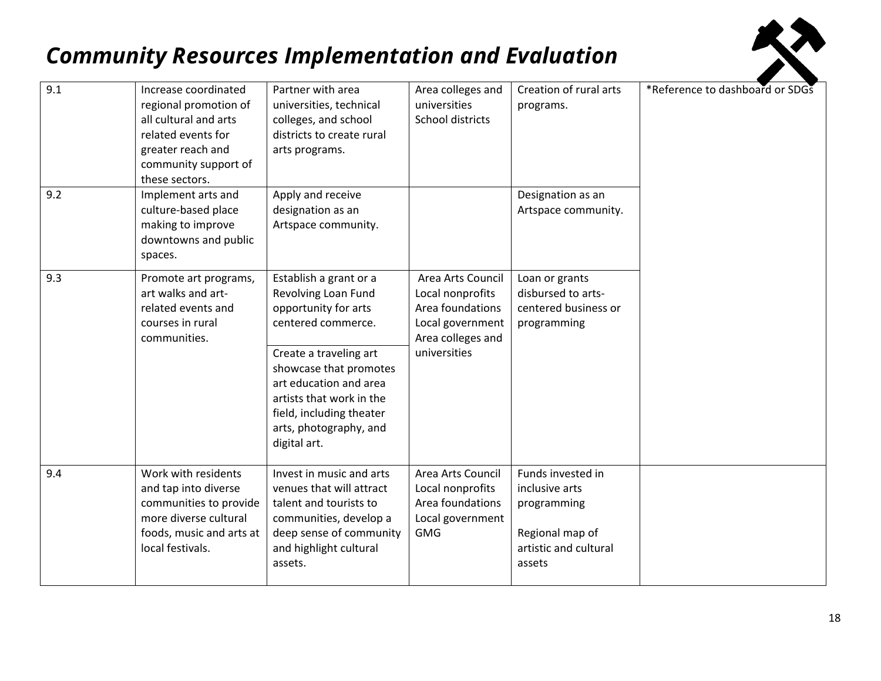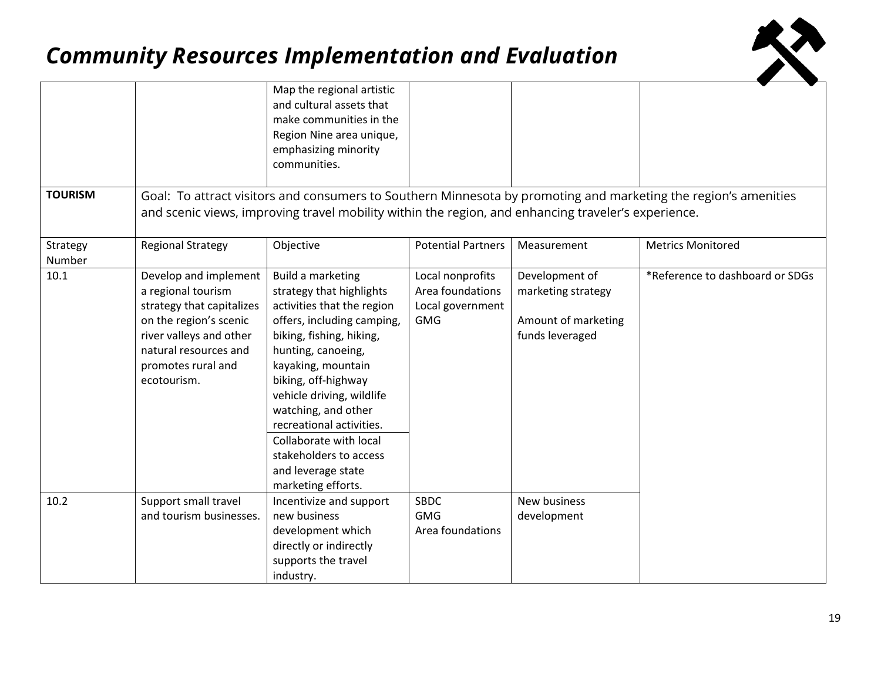

|                    |                                                                                                                                                                                             | Map the regional artistic<br>and cultural assets that<br>make communities in the<br>Region Nine area unique,<br>emphasizing minority<br>communities.                                                                                                                                                                                                                                     |                                                                        |                                                                                |                                                                                                                 |
|--------------------|---------------------------------------------------------------------------------------------------------------------------------------------------------------------------------------------|------------------------------------------------------------------------------------------------------------------------------------------------------------------------------------------------------------------------------------------------------------------------------------------------------------------------------------------------------------------------------------------|------------------------------------------------------------------------|--------------------------------------------------------------------------------|-----------------------------------------------------------------------------------------------------------------|
| <b>TOURISM</b>     |                                                                                                                                                                                             | and scenic views, improving travel mobility within the region, and enhancing traveler's experience.                                                                                                                                                                                                                                                                                      |                                                                        |                                                                                | Goal: To attract visitors and consumers to Southern Minnesota by promoting and marketing the region's amenities |
| Strategy<br>Number | <b>Regional Strategy</b>                                                                                                                                                                    | Objective                                                                                                                                                                                                                                                                                                                                                                                | <b>Potential Partners</b>                                              | Measurement                                                                    | <b>Metrics Monitored</b>                                                                                        |
| 10.1               | Develop and implement<br>a regional tourism<br>strategy that capitalizes<br>on the region's scenic<br>river valleys and other<br>natural resources and<br>promotes rural and<br>ecotourism. | Build a marketing<br>strategy that highlights<br>activities that the region<br>offers, including camping,<br>biking, fishing, hiking,<br>hunting, canoeing,<br>kayaking, mountain<br>biking, off-highway<br>vehicle driving, wildlife<br>watching, and other<br>recreational activities.<br>Collaborate with local<br>stakeholders to access<br>and leverage state<br>marketing efforts. | Local nonprofits<br>Area foundations<br>Local government<br><b>GMG</b> | Development of<br>marketing strategy<br>Amount of marketing<br>funds leveraged | *Reference to dashboard or SDGs                                                                                 |
| 10.2               | Support small travel<br>and tourism businesses.                                                                                                                                             | Incentivize and support<br>new business<br>development which<br>directly or indirectly<br>supports the travel<br>industry.                                                                                                                                                                                                                                                               | <b>SBDC</b><br><b>GMG</b><br>Area foundations                          | New business<br>development                                                    |                                                                                                                 |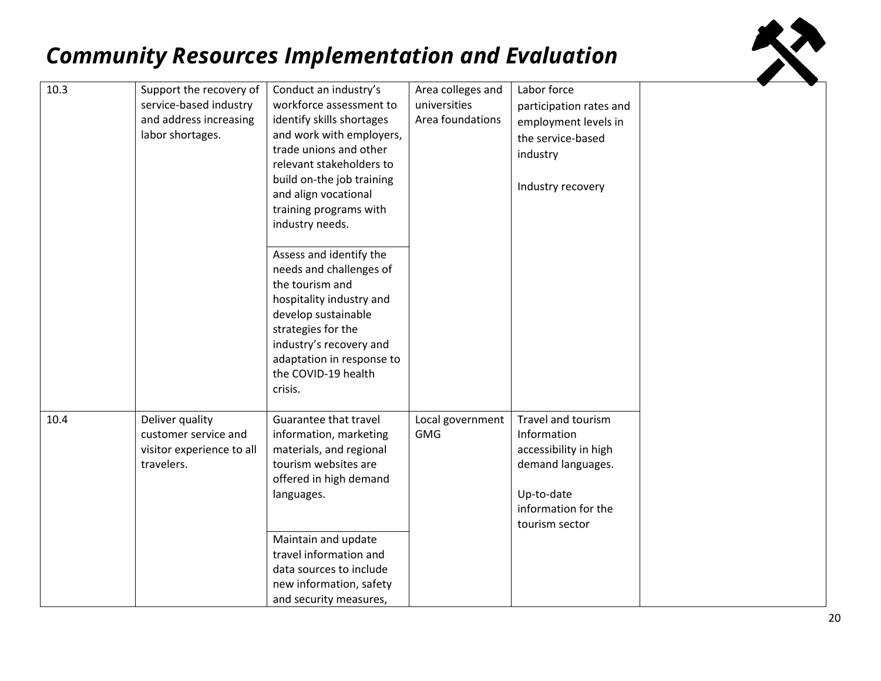| 10.3 | Support the recovery of<br>service-based industry<br>and address increasing<br>labor shortages. | Conduct an industry's<br>workforce assessment to<br>identify skills shortages<br>and work with employers,<br>trade unions and other<br>relevant stakeholders to<br>build on-the job training<br>and align vocational<br>training programs with<br>industry needs.<br>Assess and identify the<br>needs and challenges of<br>the tourism and<br>hospitality industry and<br>develop sustainable<br>strategies for the<br>industry's recovery and<br>adaptation in response to<br>the COVID-19 health<br>crisis. | Area colleges and<br>universities<br>Area foundations | Labor force<br>participation rates and<br>employment levels in<br>the service-based<br>industry<br>Industry recovery                   |  |
|------|-------------------------------------------------------------------------------------------------|---------------------------------------------------------------------------------------------------------------------------------------------------------------------------------------------------------------------------------------------------------------------------------------------------------------------------------------------------------------------------------------------------------------------------------------------------------------------------------------------------------------|-------------------------------------------------------|----------------------------------------------------------------------------------------------------------------------------------------|--|
| 10.4 | Deliver quality<br>customer service and<br>visitor experience to all<br>travelers.              | Guarantee that travel<br>information, marketing<br>materials, and regional<br>tourism websites are<br>offered in high demand<br>languages.<br>Maintain and update<br>travel information and<br>data sources to include                                                                                                                                                                                                                                                                                        | Local government<br><b>GMG</b>                        | Travel and tourism<br>Information<br>accessibility in high<br>demand languages.<br>Up-to-date<br>information for the<br>tourism sector |  |
|      |                                                                                                 | new information, safety<br>and security measures,                                                                                                                                                                                                                                                                                                                                                                                                                                                             |                                                       |                                                                                                                                        |  |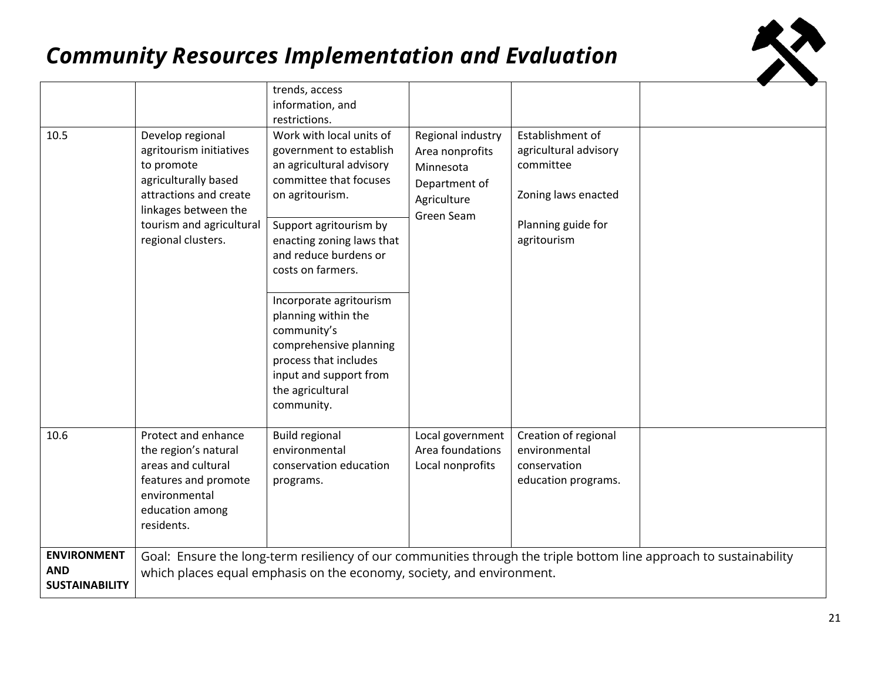

|                                                           |                                                                                                                                                                                       | trends, access                                                                                                                                                                                                                                                                                                                                                                                                    |                                                                                                 |                                                                                                                    |                                                                                                                    |
|-----------------------------------------------------------|---------------------------------------------------------------------------------------------------------------------------------------------------------------------------------------|-------------------------------------------------------------------------------------------------------------------------------------------------------------------------------------------------------------------------------------------------------------------------------------------------------------------------------------------------------------------------------------------------------------------|-------------------------------------------------------------------------------------------------|--------------------------------------------------------------------------------------------------------------------|--------------------------------------------------------------------------------------------------------------------|
|                                                           |                                                                                                                                                                                       | information, and                                                                                                                                                                                                                                                                                                                                                                                                  |                                                                                                 |                                                                                                                    |                                                                                                                    |
|                                                           |                                                                                                                                                                                       | restrictions.                                                                                                                                                                                                                                                                                                                                                                                                     |                                                                                                 |                                                                                                                    |                                                                                                                    |
| 10.5                                                      | Develop regional<br>agritourism initiatives<br>to promote<br>agriculturally based<br>attractions and create<br>linkages between the<br>tourism and agricultural<br>regional clusters. | Work with local units of<br>government to establish<br>an agricultural advisory<br>committee that focuses<br>on agritourism.<br>Support agritourism by<br>enacting zoning laws that<br>and reduce burdens or<br>costs on farmers.<br>Incorporate agritourism<br>planning within the<br>community's<br>comprehensive planning<br>process that includes<br>input and support from<br>the agricultural<br>community. | Regional industry<br>Area nonprofits<br>Minnesota<br>Department of<br>Agriculture<br>Green Seam | Establishment of<br>agricultural advisory<br>committee<br>Zoning laws enacted<br>Planning guide for<br>agritourism |                                                                                                                    |
| 10.6                                                      | Protect and enhance<br>the region's natural<br>areas and cultural<br>features and promote<br>environmental<br>education among<br>residents.                                           | <b>Build regional</b><br>environmental<br>conservation education<br>programs.                                                                                                                                                                                                                                                                                                                                     | Local government<br>Area foundations<br>Local nonprofits                                        | Creation of regional<br>environmental<br>conservation<br>education programs.                                       |                                                                                                                    |
| <b>ENVIRONMENT</b><br><b>AND</b><br><b>SUSTAINABILITY</b> |                                                                                                                                                                                       | which places equal emphasis on the economy, society, and environment.                                                                                                                                                                                                                                                                                                                                             |                                                                                                 |                                                                                                                    | Goal: Ensure the long-term resiliency of our communities through the triple bottom line approach to sustainability |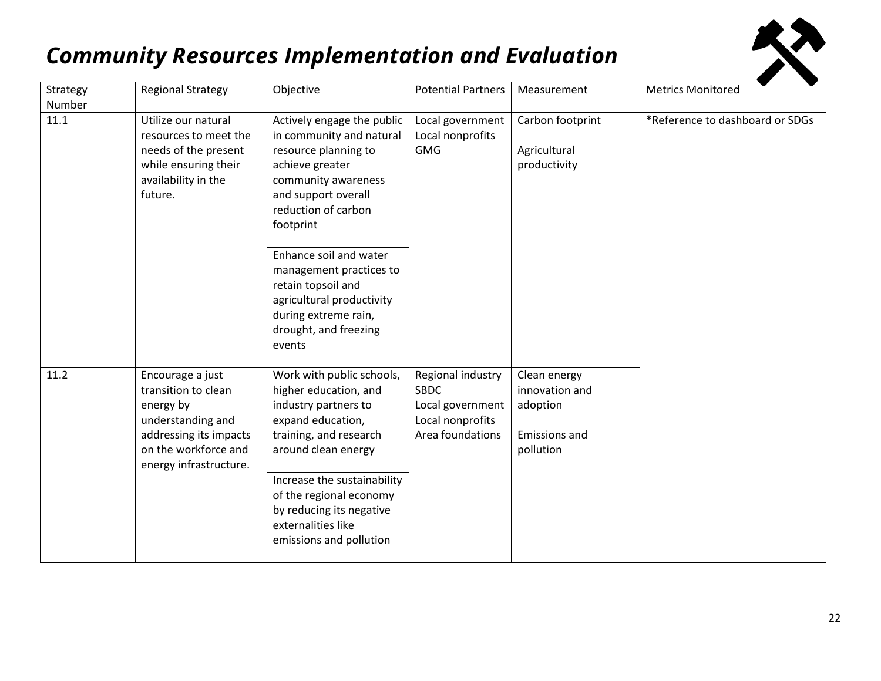| Strategy<br>Number | <b>Regional Strategy</b>                                                                                                                              | Objective                                                                                                                                                                                                                                                                                                                                              | <b>Potential Partners</b>                                                                    | Measurement                                                                     | <b>Metrics Monitored</b>        |
|--------------------|-------------------------------------------------------------------------------------------------------------------------------------------------------|--------------------------------------------------------------------------------------------------------------------------------------------------------------------------------------------------------------------------------------------------------------------------------------------------------------------------------------------------------|----------------------------------------------------------------------------------------------|---------------------------------------------------------------------------------|---------------------------------|
| 11.1               | Utilize our natural<br>resources to meet the<br>needs of the present<br>while ensuring their<br>availability in the<br>future.                        | Actively engage the public<br>in community and natural<br>resource planning to<br>achieve greater<br>community awareness<br>and support overall<br>reduction of carbon<br>footprint<br>Enhance soil and water<br>management practices to<br>retain topsoil and<br>agricultural productivity<br>during extreme rain,<br>drought, and freezing<br>events | Local government<br>Local nonprofits<br><b>GMG</b>                                           | Carbon footprint<br>Agricultural<br>productivity                                | *Reference to dashboard or SDGs |
| 11.2               | Encourage a just<br>transition to clean<br>energy by<br>understanding and<br>addressing its impacts<br>on the workforce and<br>energy infrastructure. | Work with public schools,<br>higher education, and<br>industry partners to<br>expand education,<br>training, and research<br>around clean energy<br>Increase the sustainability<br>of the regional economy<br>by reducing its negative<br>externalities like<br>emissions and pollution                                                                | Regional industry<br><b>SBDC</b><br>Local government<br>Local nonprofits<br>Area foundations | Clean energy<br>innovation and<br>adoption<br><b>Emissions and</b><br>pollution |                                 |

ĶĀ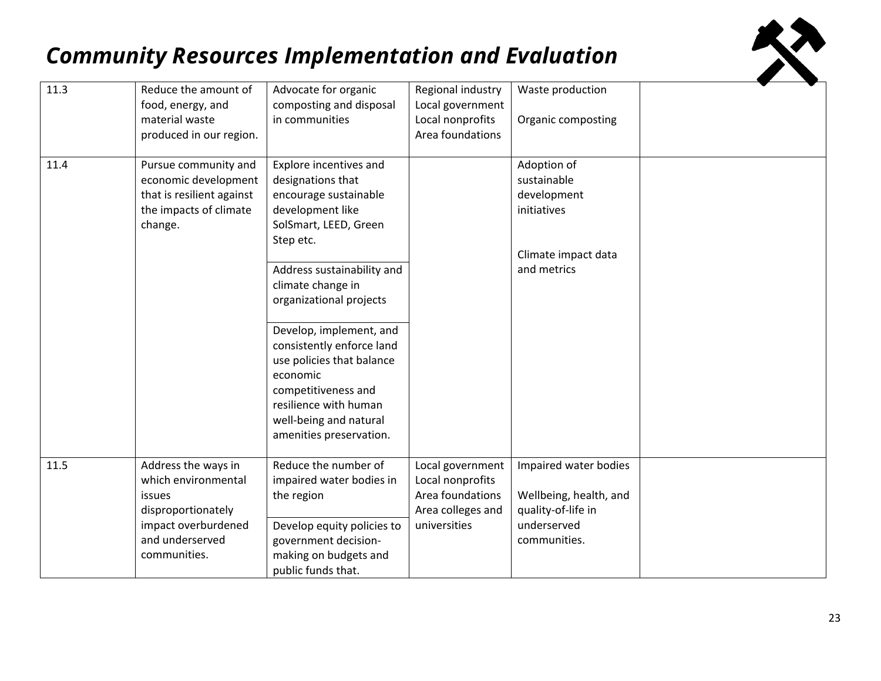

| 11.3 | Reduce the amount of<br>food, energy, and<br>material waste<br>produced in our region.                                               | Advocate for organic<br>composting and disposal<br>in communities                                                                                                                                  | Regional industry<br>Local government<br>Local nonprofits<br>Area foundations                 | Waste production<br>Organic composting                                                               |  |
|------|--------------------------------------------------------------------------------------------------------------------------------------|----------------------------------------------------------------------------------------------------------------------------------------------------------------------------------------------------|-----------------------------------------------------------------------------------------------|------------------------------------------------------------------------------------------------------|--|
| 11.4 | Pursue community and<br>economic development<br>that is resilient against<br>the impacts of climate<br>change.                       | Explore incentives and<br>designations that<br>encourage sustainable<br>development like<br>SolSmart, LEED, Green<br>Step etc.                                                                     |                                                                                               | Adoption of<br>sustainable<br>development<br>initiatives                                             |  |
|      |                                                                                                                                      | Address sustainability and<br>climate change in<br>organizational projects                                                                                                                         |                                                                                               | Climate impact data<br>and metrics                                                                   |  |
|      |                                                                                                                                      | Develop, implement, and<br>consistently enforce land<br>use policies that balance<br>economic<br>competitiveness and<br>resilience with human<br>well-being and natural<br>amenities preservation. |                                                                                               |                                                                                                      |  |
| 11.5 | Address the ways in<br>which environmental<br>issues<br>disproportionately<br>impact overburdened<br>and underserved<br>communities. | Reduce the number of<br>impaired water bodies in<br>the region<br>Develop equity policies to<br>government decision-<br>making on budgets and<br>public funds that.                                | Local government<br>Local nonprofits<br>Area foundations<br>Area colleges and<br>universities | Impaired water bodies<br>Wellbeing, health, and<br>quality-of-life in<br>underserved<br>communities. |  |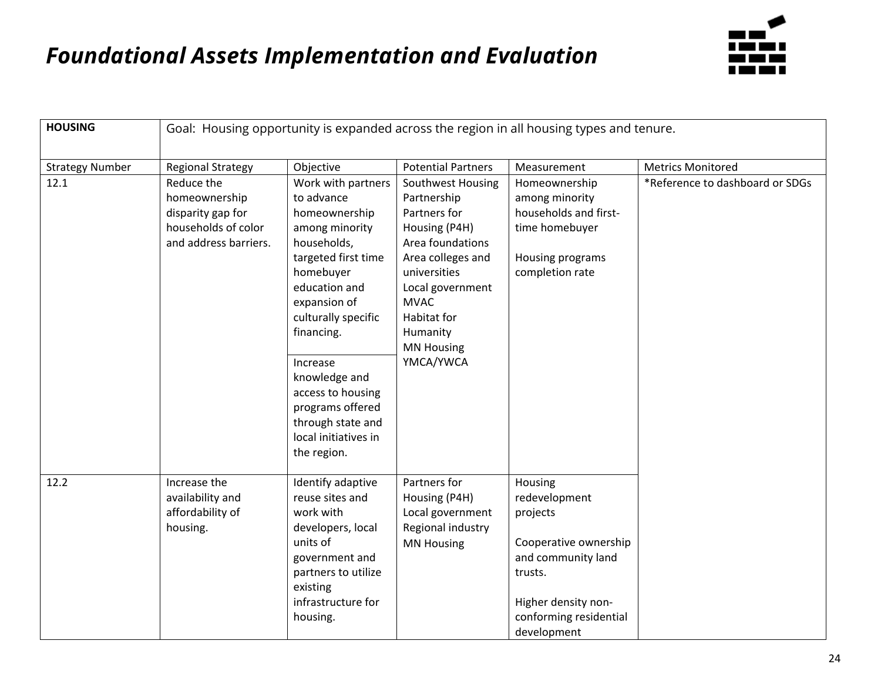

| <b>HOUSING</b>         | Goal: Housing opportunity is expanded across the region in all housing types and tenure.         |                                                                                                                                                                                                                                                                                                                                |                                                                                                                                                                                                                            |                                                                                                                                                                |                                 |  |  |
|------------------------|--------------------------------------------------------------------------------------------------|--------------------------------------------------------------------------------------------------------------------------------------------------------------------------------------------------------------------------------------------------------------------------------------------------------------------------------|----------------------------------------------------------------------------------------------------------------------------------------------------------------------------------------------------------------------------|----------------------------------------------------------------------------------------------------------------------------------------------------------------|---------------------------------|--|--|
| <b>Strategy Number</b> | <b>Regional Strategy</b>                                                                         | Objective                                                                                                                                                                                                                                                                                                                      | <b>Potential Partners</b>                                                                                                                                                                                                  | Measurement                                                                                                                                                    | <b>Metrics Monitored</b>        |  |  |
| 12.1                   | Reduce the<br>homeownership<br>disparity gap for<br>households of color<br>and address barriers. | Work with partners<br>to advance<br>homeownership<br>among minority<br>households,<br>targeted first time<br>homebuyer<br>education and<br>expansion of<br>culturally specific<br>financing.<br>Increase<br>knowledge and<br>access to housing<br>programs offered<br>through state and<br>local initiatives in<br>the region. | Southwest Housing<br>Partnership<br>Partners for<br>Housing (P4H)<br>Area foundations<br>Area colleges and<br>universities<br>Local government<br><b>MVAC</b><br>Habitat for<br>Humanity<br><b>MN Housing</b><br>YMCA/YWCA | Homeownership<br>among minority<br>households and first-<br>time homebuyer<br>Housing programs<br>completion rate                                              | *Reference to dashboard or SDGs |  |  |
| 12.2                   | Increase the<br>availability and<br>affordability of<br>housing.                                 | Identify adaptive<br>reuse sites and<br>work with<br>developers, local<br>units of<br>government and<br>partners to utilize<br>existing<br>infrastructure for<br>housing.                                                                                                                                                      | Partners for<br>Housing (P4H)<br>Local government<br>Regional industry<br><b>MN Housing</b>                                                                                                                                | Housing<br>redevelopment<br>projects<br>Cooperative ownership<br>and community land<br>trusts.<br>Higher density non-<br>conforming residential<br>development |                                 |  |  |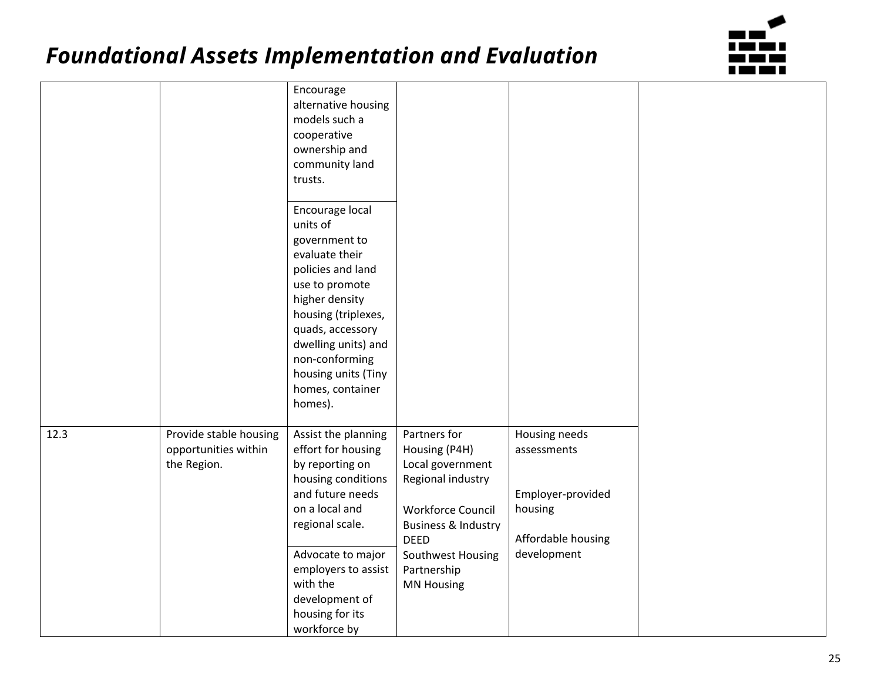

|      |                        | Encourage           |                                |                    |
|------|------------------------|---------------------|--------------------------------|--------------------|
|      |                        | alternative housing |                                |                    |
|      |                        | models such a       |                                |                    |
|      |                        | cooperative         |                                |                    |
|      |                        | ownership and       |                                |                    |
|      |                        | community land      |                                |                    |
|      |                        | trusts.             |                                |                    |
|      |                        |                     |                                |                    |
|      |                        | Encourage local     |                                |                    |
|      |                        | units of            |                                |                    |
|      |                        | government to       |                                |                    |
|      |                        | evaluate their      |                                |                    |
|      |                        | policies and land   |                                |                    |
|      |                        | use to promote      |                                |                    |
|      |                        | higher density      |                                |                    |
|      |                        | housing (triplexes, |                                |                    |
|      |                        | quads, accessory    |                                |                    |
|      |                        | dwelling units) and |                                |                    |
|      |                        | non-conforming      |                                |                    |
|      |                        | housing units (Tiny |                                |                    |
|      |                        | homes, container    |                                |                    |
|      |                        | homes).             |                                |                    |
|      |                        |                     |                                |                    |
| 12.3 | Provide stable housing | Assist the planning | Partners for                   | Housing needs      |
|      | opportunities within   | effort for housing  | Housing (P4H)                  | assessments        |
|      | the Region.            | by reporting on     | Local government               |                    |
|      |                        | housing conditions  | Regional industry              |                    |
|      |                        | and future needs    |                                | Employer-provided  |
|      |                        | on a local and      | Workforce Council              | housing            |
|      |                        | regional scale.     | <b>Business &amp; Industry</b> |                    |
|      |                        |                     | <b>DEED</b>                    | Affordable housing |
|      |                        | Advocate to major   | Southwest Housing              | development        |
|      |                        | employers to assist | Partnership                    |                    |
|      |                        | with the            | <b>MN Housing</b>              |                    |
|      |                        | development of      |                                |                    |
|      |                        | housing for its     |                                |                    |
|      |                        | workforce by        |                                |                    |
|      |                        |                     |                                |                    |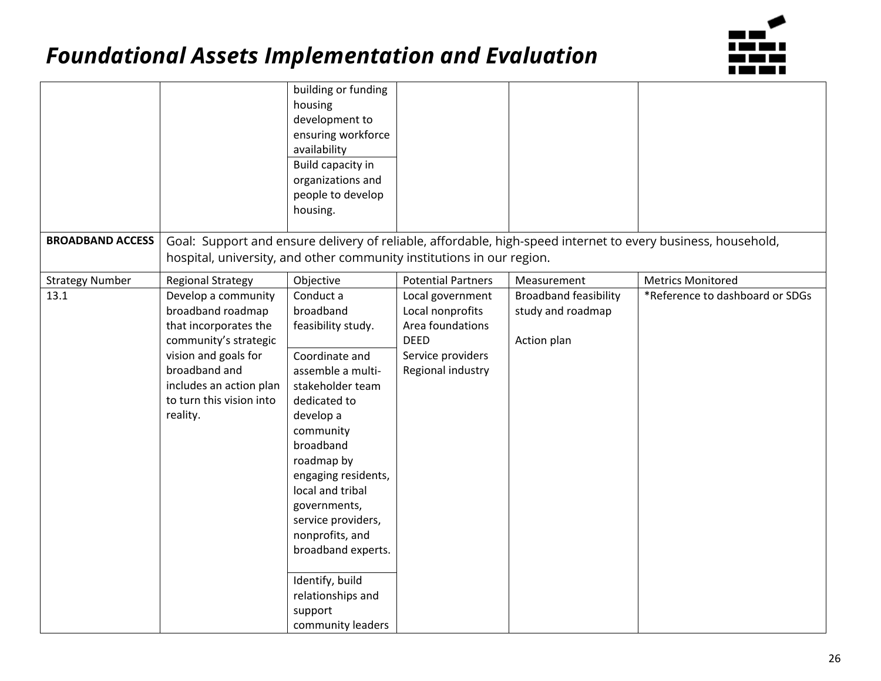

|                         |                                                                                                                                                                                                        | building or funding<br>housing<br>development to<br>ensuring workforce<br>availability<br>Build capacity in<br>organizations and<br>people to develop<br>housing.                                                                                                                                                                                                              |                                                                                                                   |                                                                  |                                                                                                              |
|-------------------------|--------------------------------------------------------------------------------------------------------------------------------------------------------------------------------------------------------|--------------------------------------------------------------------------------------------------------------------------------------------------------------------------------------------------------------------------------------------------------------------------------------------------------------------------------------------------------------------------------|-------------------------------------------------------------------------------------------------------------------|------------------------------------------------------------------|--------------------------------------------------------------------------------------------------------------|
| <b>BROADBAND ACCESS</b> |                                                                                                                                                                                                        |                                                                                                                                                                                                                                                                                                                                                                                |                                                                                                                   |                                                                  | Goal: Support and ensure delivery of reliable, affordable, high-speed internet to every business, household, |
|                         | hospital, university, and other community institutions in our region.                                                                                                                                  |                                                                                                                                                                                                                                                                                                                                                                                |                                                                                                                   |                                                                  |                                                                                                              |
| <b>Strategy Number</b>  | <b>Regional Strategy</b>                                                                                                                                                                               | Objective                                                                                                                                                                                                                                                                                                                                                                      | <b>Potential Partners</b>                                                                                         | Measurement                                                      | <b>Metrics Monitored</b>                                                                                     |
| 13.1                    | Develop a community<br>broadband roadmap<br>that incorporates the<br>community's strategic<br>vision and goals for<br>broadband and<br>includes an action plan<br>to turn this vision into<br>reality. | Conduct a<br>broadband<br>feasibility study.<br>Coordinate and<br>assemble a multi-<br>stakeholder team<br>dedicated to<br>develop a<br>community<br>broadband<br>roadmap by<br>engaging residents,<br>local and tribal<br>governments,<br>service providers,<br>nonprofits, and<br>broadband experts.<br>Identify, build<br>relationships and<br>support<br>community leaders | Local government<br>Local nonprofits<br>Area foundations<br><b>DEED</b><br>Service providers<br>Regional industry | <b>Broadband feasibility</b><br>study and roadmap<br>Action plan | *Reference to dashboard or SDGs                                                                              |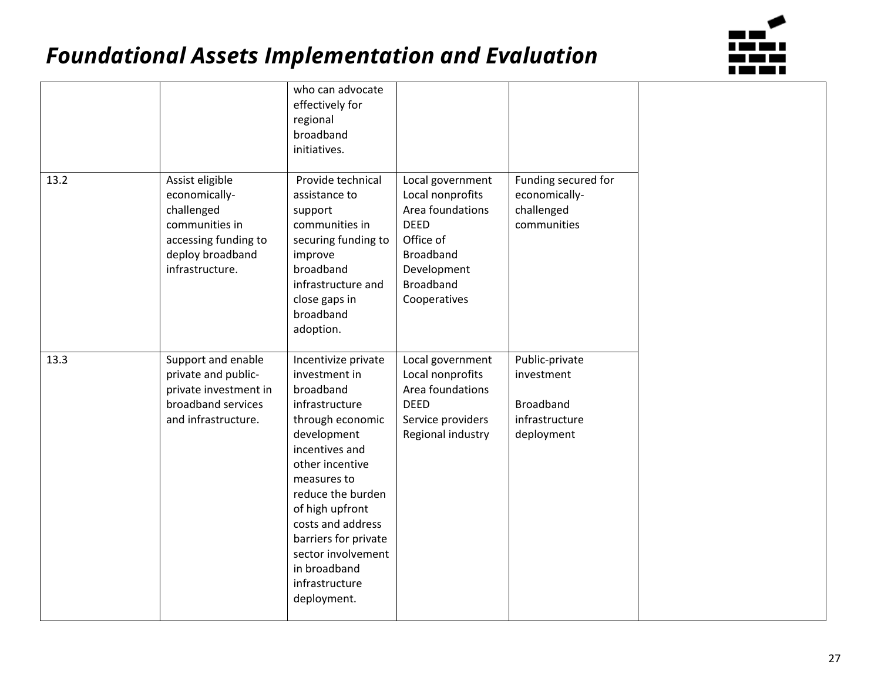

|      |                                                                                                                                 | who can advocate<br>effectively for<br>regional<br>broadband<br>initiatives.                                                                                                                                                                                                                                           |                                                                                                                                               |                                                                                  |  |
|------|---------------------------------------------------------------------------------------------------------------------------------|------------------------------------------------------------------------------------------------------------------------------------------------------------------------------------------------------------------------------------------------------------------------------------------------------------------------|-----------------------------------------------------------------------------------------------------------------------------------------------|----------------------------------------------------------------------------------|--|
| 13.2 | Assist eligible<br>economically-<br>challenged<br>communities in<br>accessing funding to<br>deploy broadband<br>infrastructure. | Provide technical<br>assistance to<br>support<br>communities in<br>securing funding to<br>improve<br>broadband<br>infrastructure and<br>close gaps in<br>broadband<br>adoption.                                                                                                                                        | Local government<br>Local nonprofits<br>Area foundations<br>DEED<br>Office of<br><b>Broadband</b><br>Development<br>Broadband<br>Cooperatives | Funding secured for<br>economically-<br>challenged<br>communities                |  |
| 13.3 | Support and enable<br>private and public-<br>private investment in<br>broadband services<br>and infrastructure.                 | Incentivize private<br>investment in<br>broadband<br>infrastructure<br>through economic<br>development<br>incentives and<br>other incentive<br>measures to<br>reduce the burden<br>of high upfront<br>costs and address<br>barriers for private<br>sector involvement<br>in broadband<br>infrastructure<br>deployment. | Local government<br>Local nonprofits<br>Area foundations<br><b>DEED</b><br>Service providers<br>Regional industry                             | Public-private<br>investment<br><b>Broadband</b><br>infrastructure<br>deployment |  |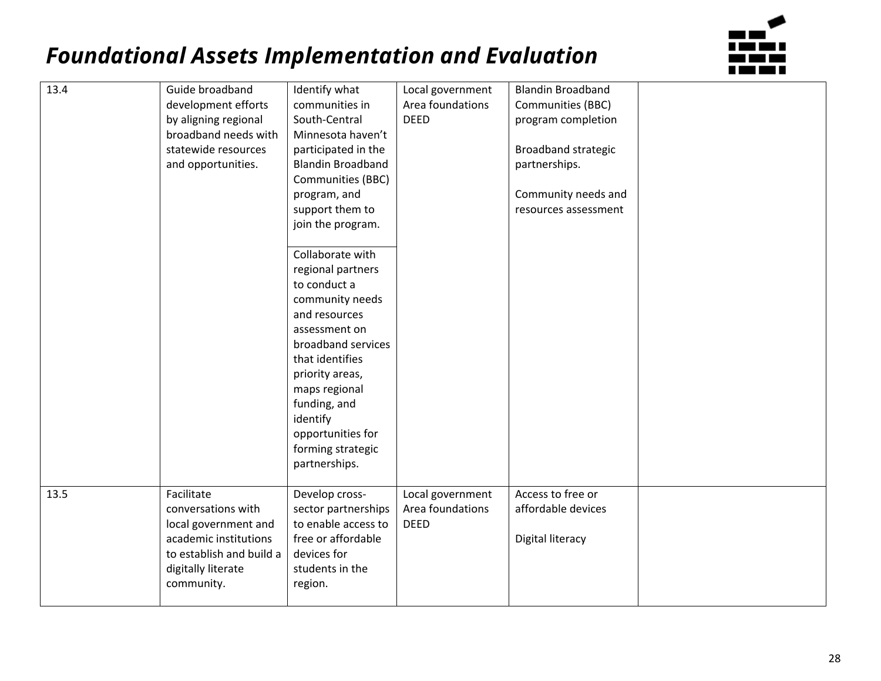

| 13.4 | Guide broadband          | Identify what            | Local government | <b>Blandin Broadband</b>   |  |
|------|--------------------------|--------------------------|------------------|----------------------------|--|
|      | development efforts      | communities in           | Area foundations | Communities (BBC)          |  |
|      | by aligning regional     | South-Central            | <b>DEED</b>      | program completion         |  |
|      | broadband needs with     | Minnesota haven't        |                  |                            |  |
|      | statewide resources      | participated in the      |                  | <b>Broadband strategic</b> |  |
|      | and opportunities.       | <b>Blandin Broadband</b> |                  | partnerships.              |  |
|      |                          | Communities (BBC)        |                  |                            |  |
|      |                          | program, and             |                  | Community needs and        |  |
|      |                          | support them to          |                  | resources assessment       |  |
|      |                          | join the program.        |                  |                            |  |
|      |                          |                          |                  |                            |  |
|      |                          | Collaborate with         |                  |                            |  |
|      |                          | regional partners        |                  |                            |  |
|      |                          | to conduct a             |                  |                            |  |
|      |                          | community needs          |                  |                            |  |
|      |                          | and resources            |                  |                            |  |
|      |                          | assessment on            |                  |                            |  |
|      |                          | broadband services       |                  |                            |  |
|      |                          | that identifies          |                  |                            |  |
|      |                          | priority areas,          |                  |                            |  |
|      |                          | maps regional            |                  |                            |  |
|      |                          | funding, and             |                  |                            |  |
|      |                          | identify                 |                  |                            |  |
|      |                          | opportunities for        |                  |                            |  |
|      |                          | forming strategic        |                  |                            |  |
|      |                          | partnerships.            |                  |                            |  |
|      |                          |                          |                  |                            |  |
| 13.5 | Facilitate               | Develop cross-           | Local government | Access to free or          |  |
|      | conversations with       | sector partnerships      | Area foundations | affordable devices         |  |
|      | local government and     | to enable access to      | <b>DEED</b>      |                            |  |
|      | academic institutions    | free or affordable       |                  | Digital literacy           |  |
|      | to establish and build a | devices for              |                  |                            |  |
|      | digitally literate       | students in the          |                  |                            |  |
|      | community.               | region.                  |                  |                            |  |
|      |                          |                          |                  |                            |  |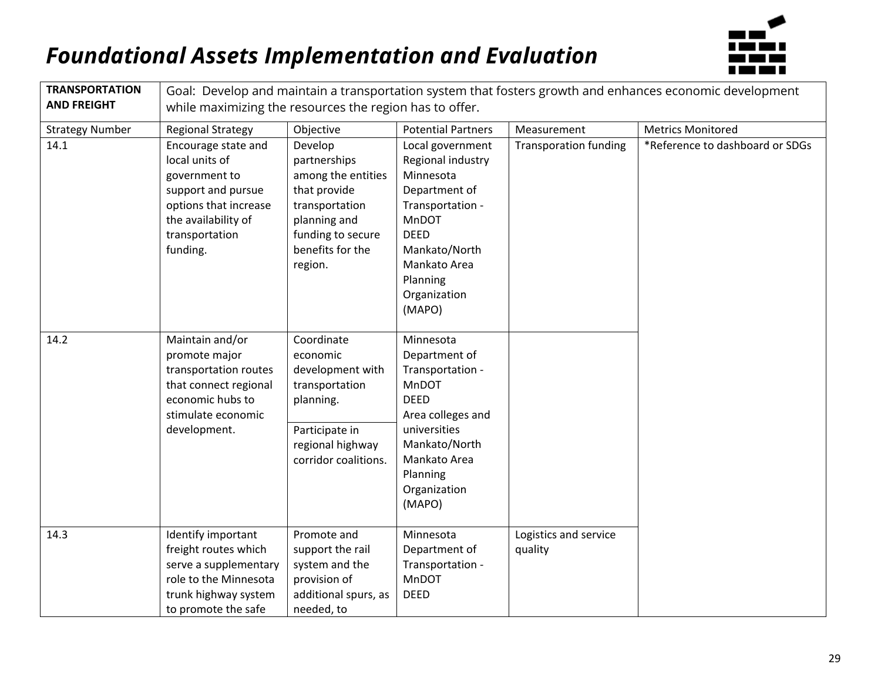

| <b>TRANSPORTATION</b><br><b>AND FREIGHT</b> | Goal: Develop and maintain a transportation system that fosters growth and enhances economic development<br>while maximizing the resources the region has to offer. |                                                                                                                                                     |                                                                                                                                                                                        |                                  |                                 |  |
|---------------------------------------------|---------------------------------------------------------------------------------------------------------------------------------------------------------------------|-----------------------------------------------------------------------------------------------------------------------------------------------------|----------------------------------------------------------------------------------------------------------------------------------------------------------------------------------------|----------------------------------|---------------------------------|--|
| <b>Strategy Number</b>                      | <b>Regional Strategy</b>                                                                                                                                            | Objective                                                                                                                                           | <b>Potential Partners</b>                                                                                                                                                              | Measurement                      | <b>Metrics Monitored</b>        |  |
| 14.1                                        | Encourage state and<br>local units of<br>government to<br>support and pursue<br>options that increase<br>the availability of<br>transportation<br>funding.          | Develop<br>partnerships<br>among the entities<br>that provide<br>transportation<br>planning and<br>funding to secure<br>benefits for the<br>region. | Local government<br>Regional industry<br>Minnesota<br>Department of<br>Transportation -<br>MnDOT<br><b>DEED</b><br>Mankato/North<br>Mankato Area<br>Planning<br>Organization<br>(MAPO) | <b>Transporation funding</b>     | *Reference to dashboard or SDGs |  |
| 14.2                                        | Maintain and/or<br>promote major<br>transportation routes<br>that connect regional<br>economic hubs to<br>stimulate economic<br>development.                        | Coordinate<br>economic<br>development with<br>transportation<br>planning.<br>Participate in<br>regional highway<br>corridor coalitions.             | Minnesota<br>Department of<br>Transportation -<br>MnDOT<br><b>DEED</b><br>Area colleges and<br>universities<br>Mankato/North<br>Mankato Area<br>Planning<br>Organization<br>(MAPO)     |                                  |                                 |  |
| 14.3                                        | Identify important<br>freight routes which<br>serve a supplementary<br>role to the Minnesota<br>trunk highway system<br>to promote the safe                         | Promote and<br>support the rail<br>system and the<br>provision of<br>additional spurs, as<br>needed, to                                             | Minnesota<br>Department of<br>Transportation -<br><b>MnDOT</b><br><b>DEED</b>                                                                                                          | Logistics and service<br>quality |                                 |  |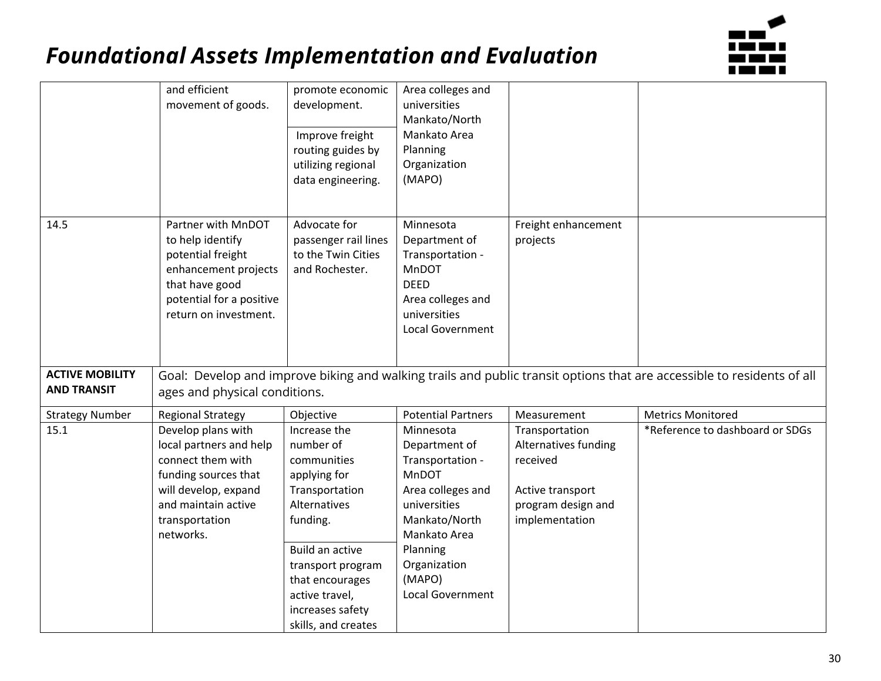

|                                              | and efficient<br>movement of goods.                                                                                                                                      | promote economic<br>development.<br>Improve freight<br>routing guides by<br>utilizing regional<br>data engineering.                                                                                                            | Area colleges and<br>universities<br>Mankato/North<br>Mankato Area<br>Planning<br>Organization<br>(MAPO)                                                                                |                                                                                                                |                                                                                                                        |
|----------------------------------------------|--------------------------------------------------------------------------------------------------------------------------------------------------------------------------|--------------------------------------------------------------------------------------------------------------------------------------------------------------------------------------------------------------------------------|-----------------------------------------------------------------------------------------------------------------------------------------------------------------------------------------|----------------------------------------------------------------------------------------------------------------|------------------------------------------------------------------------------------------------------------------------|
| 14.5                                         | Partner with MnDOT<br>to help identify<br>potential freight<br>enhancement projects<br>that have good<br>potential for a positive<br>return on investment.               | Advocate for<br>passenger rail lines<br>to the Twin Cities<br>and Rochester.                                                                                                                                                   | Minnesota<br>Department of<br>Transportation -<br>MnDOT<br><b>DEED</b><br>Area colleges and<br>universities<br>Local Government                                                         | Freight enhancement<br>projects                                                                                |                                                                                                                        |
| <b>ACTIVE MOBILITY</b><br><b>AND TRANSIT</b> | ages and physical conditions.                                                                                                                                            |                                                                                                                                                                                                                                |                                                                                                                                                                                         |                                                                                                                | Goal: Develop and improve biking and walking trails and public transit options that are accessible to residents of all |
| <b>Strategy Number</b>                       | <b>Regional Strategy</b>                                                                                                                                                 | Objective                                                                                                                                                                                                                      | <b>Potential Partners</b>                                                                                                                                                               | Measurement                                                                                                    | <b>Metrics Monitored</b>                                                                                               |
| 15.1                                         | Develop plans with<br>local partners and help<br>connect them with<br>funding sources that<br>will develop, expand<br>and maintain active<br>transportation<br>networks. | Increase the<br>number of<br>communities<br>applying for<br>Transportation<br>Alternatives<br>funding.<br>Build an active<br>transport program<br>that encourages<br>active travel,<br>increases safety<br>skills, and creates | Minnesota<br>Department of<br>Transportation -<br>MnDOT<br>Area colleges and<br>universities<br>Mankato/North<br>Mankato Area<br>Planning<br>Organization<br>(MAPO)<br>Local Government | Transportation<br>Alternatives funding<br>received<br>Active transport<br>program design and<br>implementation | *Reference to dashboard or SDGs                                                                                        |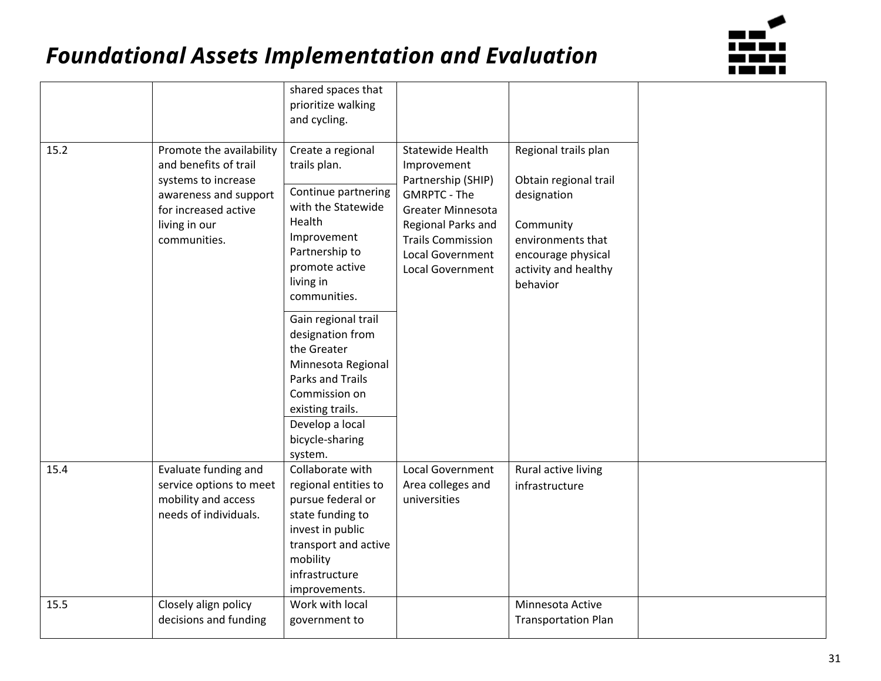

|      |                                                                                                                                                            | shared spaces that<br>prioritize walking<br>and cycling.                                                                                                                                      |                                                                                                                                                                                                    |                                                                                                                                                          |
|------|------------------------------------------------------------------------------------------------------------------------------------------------------------|-----------------------------------------------------------------------------------------------------------------------------------------------------------------------------------------------|----------------------------------------------------------------------------------------------------------------------------------------------------------------------------------------------------|----------------------------------------------------------------------------------------------------------------------------------------------------------|
| 15.2 | Promote the availability<br>and benefits of trail<br>systems to increase<br>awareness and support<br>for increased active<br>living in our<br>communities. | Create a regional<br>trails plan.<br>Continue partnering<br>with the Statewide<br>Health<br>Improvement<br>Partnership to<br>promote active<br>living in<br>communities.                      | Statewide Health<br>Improvement<br>Partnership (SHIP)<br><b>GMRPTC - The</b><br>Greater Minnesota<br>Regional Parks and<br><b>Trails Commission</b><br>Local Government<br><b>Local Government</b> | Regional trails plan<br>Obtain regional trail<br>designation<br>Community<br>environments that<br>encourage physical<br>activity and healthy<br>behavior |
|      |                                                                                                                                                            | Gain regional trail<br>designation from<br>the Greater<br>Minnesota Regional<br><b>Parks and Trails</b><br>Commission on<br>existing trails.<br>Develop a local<br>bicycle-sharing<br>system. |                                                                                                                                                                                                    |                                                                                                                                                          |
| 15.4 | Evaluate funding and<br>service options to meet<br>mobility and access<br>needs of individuals.                                                            | Collaborate with<br>regional entities to<br>pursue federal or<br>state funding to<br>invest in public<br>transport and active<br>mobility<br>infrastructure<br>improvements.                  | Local Government<br>Area colleges and<br>universities                                                                                                                                              | Rural active living<br>infrastructure                                                                                                                    |
| 15.5 | Closely align policy<br>decisions and funding                                                                                                              | Work with local<br>government to                                                                                                                                                              |                                                                                                                                                                                                    | Minnesota Active<br><b>Transportation Plan</b>                                                                                                           |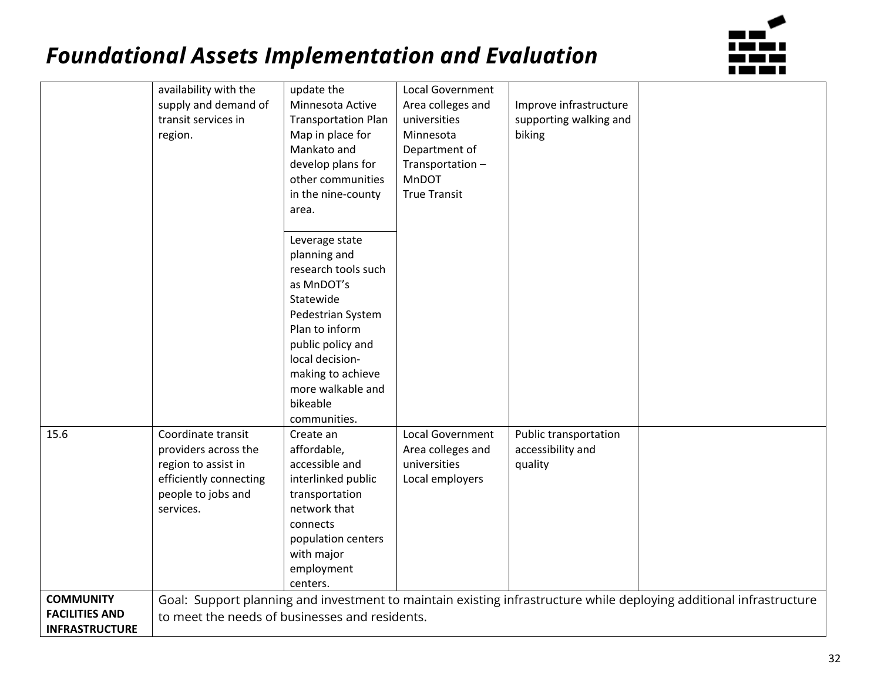

|                       | availability with the                          | update the                 | <b>Local Government</b> |                        |                                                                                                                     |
|-----------------------|------------------------------------------------|----------------------------|-------------------------|------------------------|---------------------------------------------------------------------------------------------------------------------|
|                       | supply and demand of                           | Minnesota Active           | Area colleges and       | Improve infrastructure |                                                                                                                     |
|                       | transit services in                            | <b>Transportation Plan</b> | universities            | supporting walking and |                                                                                                                     |
|                       | region.                                        | Map in place for           | Minnesota               | biking                 |                                                                                                                     |
|                       |                                                | Mankato and                | Department of           |                        |                                                                                                                     |
|                       |                                                | develop plans for          | Transportation-         |                        |                                                                                                                     |
|                       |                                                | other communities          | MnDOT                   |                        |                                                                                                                     |
|                       |                                                | in the nine-county         | <b>True Transit</b>     |                        |                                                                                                                     |
|                       |                                                | area.                      |                         |                        |                                                                                                                     |
|                       |                                                |                            |                         |                        |                                                                                                                     |
|                       |                                                | Leverage state             |                         |                        |                                                                                                                     |
|                       |                                                | planning and               |                         |                        |                                                                                                                     |
|                       |                                                | research tools such        |                         |                        |                                                                                                                     |
|                       |                                                | as MnDOT's                 |                         |                        |                                                                                                                     |
|                       |                                                | Statewide                  |                         |                        |                                                                                                                     |
|                       |                                                | Pedestrian System          |                         |                        |                                                                                                                     |
|                       |                                                | Plan to inform             |                         |                        |                                                                                                                     |
|                       |                                                | public policy and          |                         |                        |                                                                                                                     |
|                       |                                                | local decision-            |                         |                        |                                                                                                                     |
|                       |                                                | making to achieve          |                         |                        |                                                                                                                     |
|                       |                                                | more walkable and          |                         |                        |                                                                                                                     |
|                       |                                                | bikeable                   |                         |                        |                                                                                                                     |
|                       |                                                | communities.               |                         |                        |                                                                                                                     |
| 15.6                  | Coordinate transit                             | Create an                  | <b>Local Government</b> | Public transportation  |                                                                                                                     |
|                       | providers across the                           | affordable,                | Area colleges and       | accessibility and      |                                                                                                                     |
|                       | region to assist in                            | accessible and             | universities            | quality                |                                                                                                                     |
|                       | efficiently connecting                         | interlinked public         | Local employers         |                        |                                                                                                                     |
|                       | people to jobs and                             | transportation             |                         |                        |                                                                                                                     |
|                       | services.                                      | network that               |                         |                        |                                                                                                                     |
|                       |                                                | connects                   |                         |                        |                                                                                                                     |
|                       |                                                | population centers         |                         |                        |                                                                                                                     |
|                       |                                                | with major                 |                         |                        |                                                                                                                     |
|                       |                                                | employment                 |                         |                        |                                                                                                                     |
| <b>COMMUNITY</b>      |                                                | centers.                   |                         |                        |                                                                                                                     |
| <b>FACILITIES AND</b> |                                                |                            |                         |                        | Goal: Support planning and investment to maintain existing infrastructure while deploying additional infrastructure |
| <b>INFRASTRUCTURE</b> | to meet the needs of businesses and residents. |                            |                         |                        |                                                                                                                     |
|                       |                                                |                            |                         |                        |                                                                                                                     |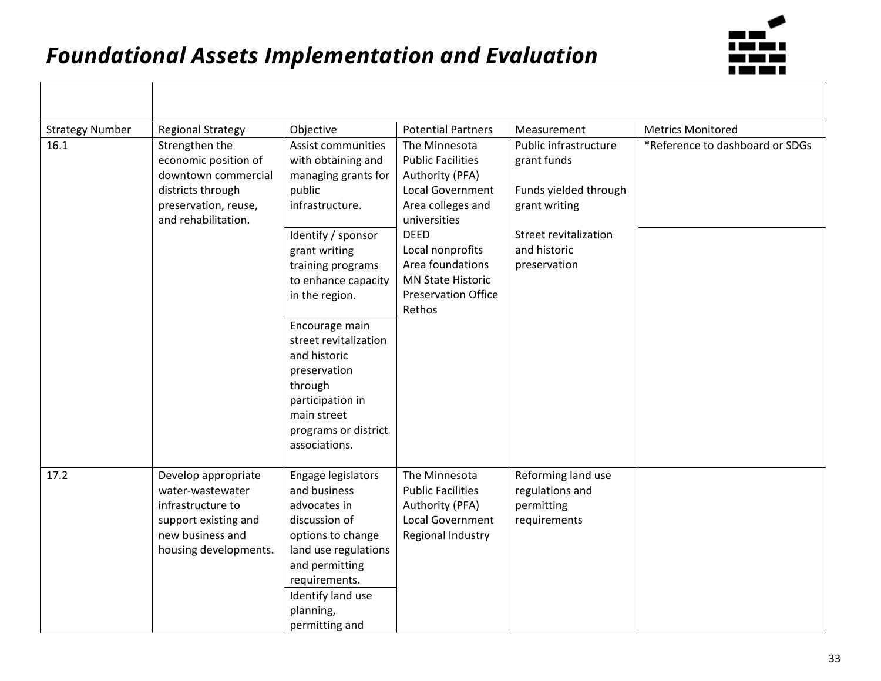

| <b>Strategy Number</b> | <b>Regional Strategy</b>                                                                                                          | Objective                                                                                                                                                                                               | <b>Potential Partners</b>                                                                                               | Measurement                                                                    | <b>Metrics Monitored</b>        |
|------------------------|-----------------------------------------------------------------------------------------------------------------------------------|---------------------------------------------------------------------------------------------------------------------------------------------------------------------------------------------------------|-------------------------------------------------------------------------------------------------------------------------|--------------------------------------------------------------------------------|---------------------------------|
| 16.1                   | Strengthen the<br>economic position of<br>downtown commercial<br>districts through<br>preservation, reuse,<br>and rehabilitation. | Assist communities<br>with obtaining and<br>managing grants for<br>public<br>infrastructure.                                                                                                            | The Minnesota<br><b>Public Facilities</b><br>Authority (PFA)<br>Local Government<br>Area colleges and<br>universities   | Public infrastructure<br>grant funds<br>Funds yielded through<br>grant writing | *Reference to dashboard or SDGs |
|                        |                                                                                                                                   | Identify / sponsor<br>grant writing<br>training programs<br>to enhance capacity<br>in the region.                                                                                                       | <b>DEED</b><br>Local nonprofits<br>Area foundations<br><b>MN State Historic</b><br><b>Preservation Office</b><br>Rethos | Street revitalization<br>and historic<br>preservation                          |                                 |
|                        |                                                                                                                                   | Encourage main<br>street revitalization<br>and historic<br>preservation<br>through<br>participation in<br>main street<br>programs or district<br>associations.                                          |                                                                                                                         |                                                                                |                                 |
| 17.2                   | Develop appropriate<br>water-wastewater<br>infrastructure to<br>support existing and<br>new business and<br>housing developments. | Engage legislators<br>and business<br>advocates in<br>discussion of<br>options to change<br>land use regulations<br>and permitting<br>requirements.<br>Identify land use<br>planning,<br>permitting and | The Minnesota<br><b>Public Facilities</b><br>Authority (PFA)<br>Local Government<br>Regional Industry                   | Reforming land use<br>regulations and<br>permitting<br>requirements            |                                 |